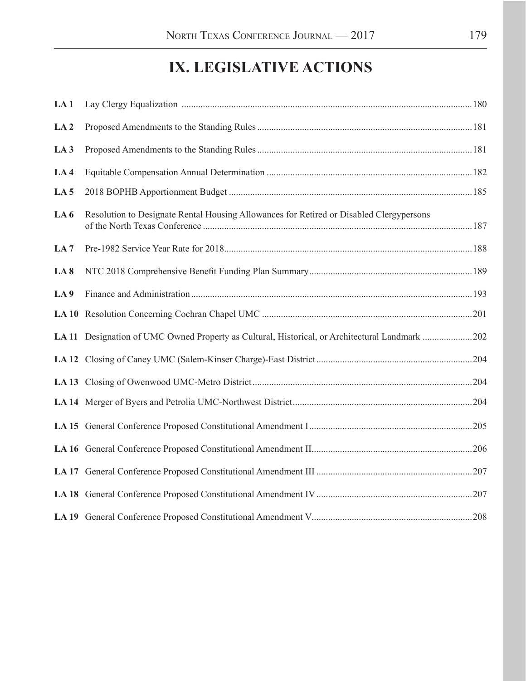# **IX. LEGISLATIVE ACTIONS**

| LA <sub>1</sub> |                                                                                                |  |
|-----------------|------------------------------------------------------------------------------------------------|--|
| LA <sub>2</sub> |                                                                                                |  |
| LA <sub>3</sub> |                                                                                                |  |
| LA <sub>4</sub> |                                                                                                |  |
| LA <sub>5</sub> |                                                                                                |  |
| LA6             | Resolution to Designate Rental Housing Allowances for Retired or Disabled Clergypersons        |  |
| LA <sub>7</sub> |                                                                                                |  |
| LA <sub>8</sub> |                                                                                                |  |
| LA <sub>9</sub> |                                                                                                |  |
|                 |                                                                                                |  |
|                 | LA 11 Designation of UMC Owned Property as Cultural, Historical, or Architectural Landmark 202 |  |
|                 |                                                                                                |  |
|                 |                                                                                                |  |
|                 |                                                                                                |  |
|                 |                                                                                                |  |
|                 |                                                                                                |  |
|                 |                                                                                                |  |
|                 |                                                                                                |  |
|                 |                                                                                                |  |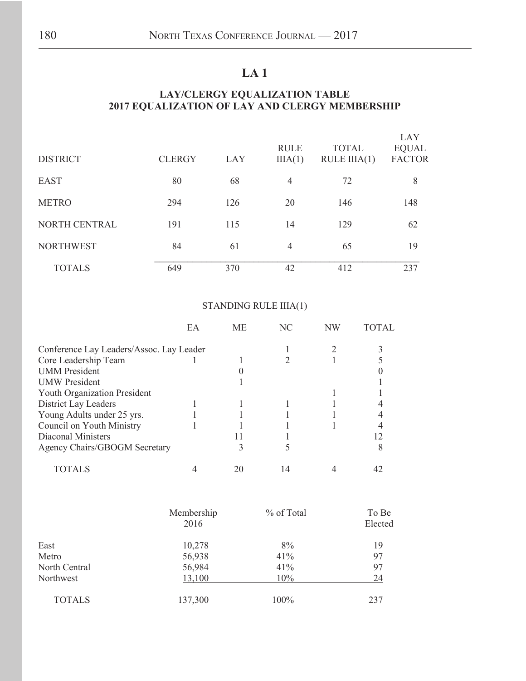### **LA 1**

#### **LAY/CLERGY EQUALIZATION TABLE 2017 EQUALIZATION OF LAY AND CLERGY MEMBERSHIP**

| <b>DISTRICT</b>  | <b>CLERGY</b> | LAY | <b>RULE</b><br>IIIA(1) | <b>TOTAL</b><br>$RULE$ $IIIA(1)$ | LAY<br><b>EQUAL</b><br><b>FACTOR</b> |
|------------------|---------------|-----|------------------------|----------------------------------|--------------------------------------|
| <b>EAST</b>      | 80            | 68  | 4                      | 72                               | 8                                    |
| <b>METRO</b>     | 294           | 126 | 20                     | 146                              | 148                                  |
| NORTH CENTRAL    | 191           | 115 | 14                     | 129                              | 62                                   |
| <b>NORTHWEST</b> | 84            | 61  | 4                      | 65                               | 19                                   |
| <b>TOTALS</b>    | 649           | 370 | 42                     | 412                              | 237                                  |

### STANDING RULE IIIA(1)

|                                          | EA | <b>ME</b> | NC | NW |  |
|------------------------------------------|----|-----------|----|----|--|
| Conference Lay Leaders/Assoc. Lay Leader |    |           |    |    |  |
| Core Leadership Team                     |    |           |    |    |  |
| <b>UMM</b> President                     |    |           |    |    |  |
| <b>UMW</b> President                     |    |           |    |    |  |
| <b>Youth Organization President</b>      |    |           |    |    |  |
| District Lay Leaders                     |    |           |    |    |  |
| Young Adults under 25 yrs.               |    |           |    |    |  |
| Council on Youth Ministry                |    |           |    |    |  |
| Diaconal Ministers                       |    |           |    |    |  |
| <b>Agency Chairs/GBOGM Secretary</b>     |    |           |    |    |  |
| TOTALS                                   |    | 20        | 14 |    |  |

|               | Membership<br>2016 | % of Total | To Be<br>Elected |
|---------------|--------------------|------------|------------------|
| East          | 10,278             | 8%         | 19               |
| Metro         | 56,938             | 41%        | 97               |
| North Central | 56,984             | 41%        | 97               |
| Northwest     | 13,100             | 10%        | 24               |
| <b>TOTALS</b> | 137,300            | 100%       | 237              |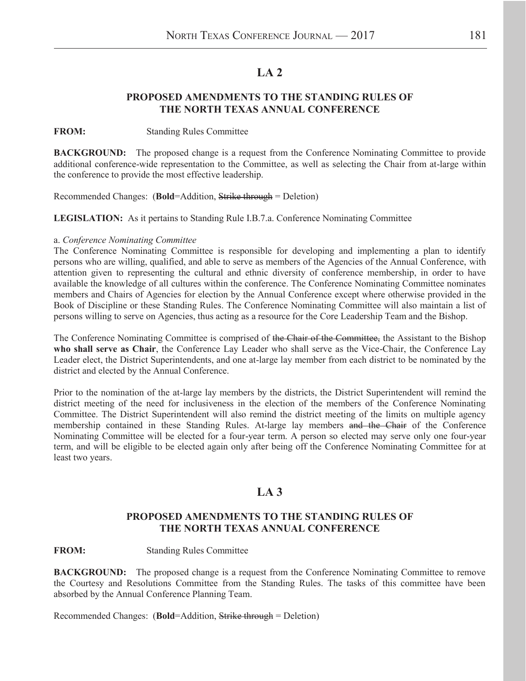### **LA 2**

#### **PROPOSED AMENDMENTS TO THE STANDING RULES OF THE NORTH TEXAS ANNUAL CONFERENCE**

#### **FROM:** Standing Rules Committee

**BACKGROUND:** The proposed change is a request from the Conference Nominating Committee to provide additional conference-wide representation to the Committee, as well as selecting the Chair from at-large within the conference to provide the most effective leadership.

Recommended Changes: (**Bold**=Addition, Strike through = Deletion)

**LEGISLATION:** As it pertains to Standing Rule I.B.7.a. Conference Nominating Committee

#### a. *Conference Nominating Committee*

The Conference Nominating Committee is responsible for developing and implementing a plan to identify persons who are willing, qualified, and able to serve as members of the Agencies of the Annual Conference, with attention given to representing the cultural and ethnic diversity of conference membership, in order to have available the knowledge of all cultures within the conference. The Conference Nominating Committee nominates members and Chairs of Agencies for election by the Annual Conference except where otherwise provided in the Book of Discipline or these Standing Rules. The Conference Nominating Committee will also maintain a list of persons willing to serve on Agencies, thus acting as a resource for the Core Leadership Team and the Bishop.

The Conference Nominating Committee is comprised of the Chair of the Committee, the Assistant to the Bishop **who shall serve as Chair**, the Conference Lay Leader who shall serve as the Vice-Chair, the Conference Lay Leader elect, the District Superintendents, and one at-large lay member from each district to be nominated by the district and elected by the Annual Conference.

Prior to the nomination of the at-large lay members by the districts, the District Superintendent will remind the district meeting of the need for inclusiveness in the election of the members of the Conference Nominating Committee. The District Superintendent will also remind the district meeting of the limits on multiple agency membership contained in these Standing Rules. At-large lay members and the Chair of the Conference Nominating Committee will be elected for a four-year term. A person so elected may serve only one four-year term, and will be eligible to be elected again only after being off the Conference Nominating Committee for at least two years.

### **LA 3**

#### **PROPOSED AMENDMENTS TO THE STANDING RULES OF THE NORTH TEXAS ANNUAL CONFERENCE**

#### **FROM:** Standing Rules Committee

**BACKGROUND:** The proposed change is a request from the Conference Nominating Committee to remove the Courtesy and Resolutions Committee from the Standing Rules. The tasks of this committee have been absorbed by the Annual Conference Planning Team.

Recommended Changes: (**Bold**=Addition, Strike through = Deletion)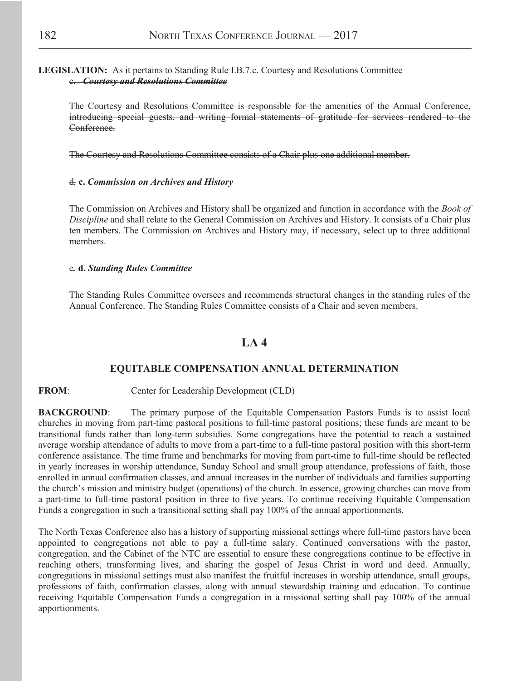#### **LEGISLATION:** As it pertains to Standing Rule I.B.7.c. Courtesy and Resolutions Committee c. *Courtesy and Resolutions Committee*

The Courtesy and Resolutions Committee is responsible for the amenities of the Annual Conference, introducing special guests, and writing formal statements of gratitude for services rendered to the Conference.

The Courtesy and Resolutions Committee consists of a Chair plus one additional member.

#### d*.* **c.** *Commission on Archives and History*

The Commission on Archives and History shall be organized and function in accordance with the *Book of Discipline* and shall relate to the General Commission on Archives and History. It consists of a Chair plus ten members. The Commission on Archives and History may, if necessary, select up to three additional members.

#### e*.* **d.** *Standing Rules Committee*

The Standing Rules Committee oversees and recommends structural changes in the standing rules of the Annual Conference. The Standing Rules Committee consists of a Chair and seven members.

### **LA 4**

#### **EQUITABLE COMPENSATION ANNUAL DETERMINATION**

#### **FROM**: Center for Leadership Development (CLD)

**BACKGROUND:** The primary purpose of the Equitable Compensation Pastors Funds is to assist local churches in moving from part-time pastoral positions to full-time pastoral positions; these funds are meant to be transitional funds rather than long-term subsidies. Some congregations have the potential to reach a sustained average worship attendance of adults to move from a part-time to a full-time pastoral position with this short-term conference assistance. The time frame and benchmarks for moving from part-time to full-time should be reflected in yearly increases in worship attendance, Sunday School and small group attendance, professions of faith, those enrolled in annual confirmation classes, and annual increases in the number of individuals and families supporting the church's mission and ministry budget (operations) of the church. In essence, growing churches can move from a part-time to full-time pastoral position in three to five years. To continue receiving Equitable Compensation Funds a congregation in such a transitional setting shall pay 100% of the annual apportionments.

The North Texas Conference also has a history of supporting missional settings where full-time pastors have been appointed to congregations not able to pay a full-time salary. Continued conversations with the pastor, congregation, and the Cabinet of the NTC are essential to ensure these congregations continue to be effective in reaching others, transforming lives, and sharing the gospel of Jesus Christ in word and deed. Annually, congregations in missional settings must also manifest the fruitful increases in worship attendance, small groups, professions of faith, confirmation classes, along with annual stewardship training and education. To continue receiving Equitable Compensation Funds a congregation in a missional setting shall pay 100% of the annual apportionments.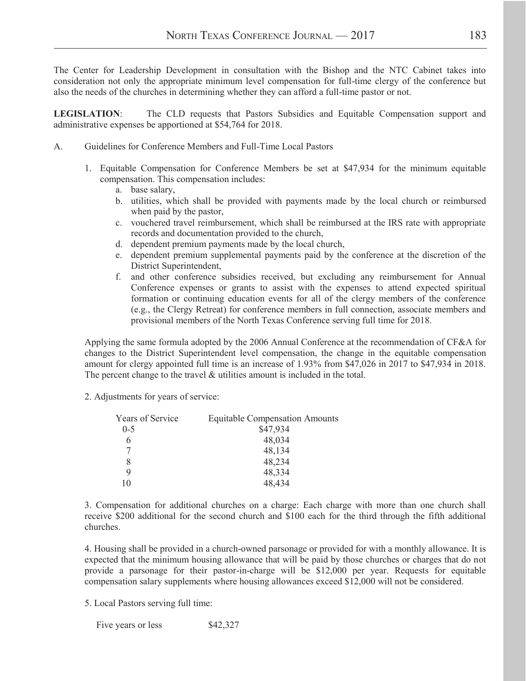The Center for Leadership Development in consultation with the Bishop and the NTC Cabinet takes into consideration not only the appropriate minimum level compensation for full-time clergy of the conference but also the needs of the churches in determining whether they can afford a full-time pastor or not.

**LEGISLATION**: The CLD requests that Pastors Subsidies and Equitable Compensation support and administrative expenses be apportioned at \$54,764 for 2018.

- A. Guidelines for Conference Members and Full-Time Local Pastors
	- 1. Equitable Compensation for Conference Members be set at \$47,934 for the minimum equitable compensation. This compensation includes:
		- a. base salary,
		- b. utilities, which shall be provided with payments made by the local church or reimbursed when paid by the pastor,
		- c. vouchered travel reimbursement, which shall be reimbursed at the IRS rate with appropriate records and documentation provided to the church,
		- d. dependent premium payments made by the local church,
		- e. dependent premium supplemental payments paid by the conference at the discretion of the District Superintendent,
		- f. and other conference subsidies received, but excluding any reimbursement for Annual Conference expenses or grants to assist with the expenses to attend expected spiritual formation or continuing education events for all of the clergy members of the conference (e.g., the Clergy Retreat) for conference members in full connection, associate members and provisional members of the North Texas Conference serving full time for 2018.

Applying the same formula adopted by the 2006 Annual Conference at the recommendation of CF&A for changes to the District Superintendent level compensation, the change in the equitable compensation amount for clergy appointed full time is an increase of 1.93% from \$47,026 in 2017 to \$47,934 in 2018. The percent change to the travel  $\&$  utilities amount is included in the total.

2. Adjustments for years of service:

| Years of Service | <b>Equitable Compensation Amounts</b> |
|------------------|---------------------------------------|
| $0 - 5$          | \$47,934                              |
| 6                | 48,034                                |
|                  | 48,134                                |
| 8                | 48,234                                |
| 9                | 48,334                                |
| 10               | 48,434                                |

3. Compensation for additional churches on a charge: Each charge with more than one church shall receive \$200 additional for the second church and \$100 each for the third through the fifth additional churches.

4. Housing shall be provided in a church-owned parsonage or provided for with a monthly allowance. It is expected that the minimum housing allowance that will be paid by those churches or charges that do not provide a parsonage for their pastor-in-charge will be \$12,000 per year. Requests for equitable compensation salary supplements where housing allowances exceed \$12,000 will not be considered.

5. Local Pastors serving full time:

Five years or less \$42,327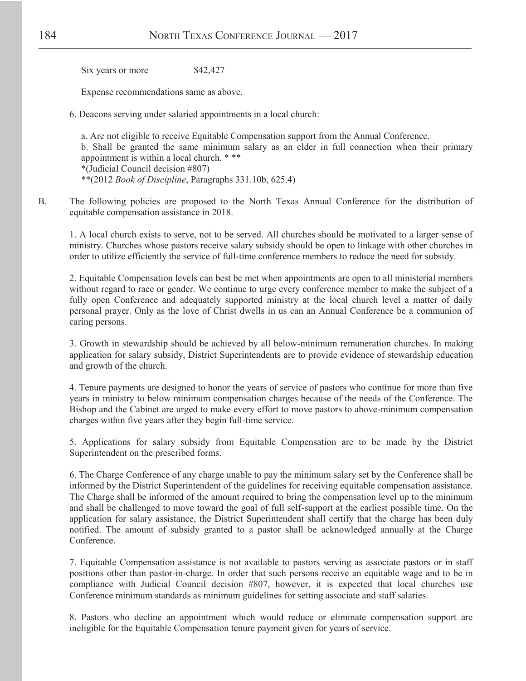Six years or more \$42,427

Expense recommendations same as above.

6. Deacons serving under salaried appointments in a local church:

a. Are not eligible to receive Equitable Compensation support from the Annual Conference. b. Shall be granted the same minimum salary as an elder in full connection when their primary appointment is within a local church. \* \*\*

\*(Judicial Council decision #807)

\*\*(2012 *Book of Discipline*, Paragraphs 331.10b, 625.4)

B. The following policies are proposed to the North Texas Annual Conference for the distribution of equitable compensation assistance in 2018.

1. A local church exists to serve, not to be served. All churches should be motivated to a larger sense of ministry. Churches whose pastors receive salary subsidy should be open to linkage with other churches in order to utilize efficiently the service of full-time conference members to reduce the need for subsidy.

2. Equitable Compensation levels can best be met when appointments are open to all ministerial members without regard to race or gender. We continue to urge every conference member to make the subject of a fully open Conference and adequately supported ministry at the local church level a matter of daily personal prayer. Only as the love of Christ dwells in us can an Annual Conference be a communion of caring persons.

3. Growth in stewardship should be achieved by all below-minimum remuneration churches. In making application for salary subsidy, District Superintendents are to provide evidence of stewardship education and growth of the church.

4. Tenure payments are designed to honor the years of service of pastors who continue for more than five years in ministry to below minimum compensation charges because of the needs of the Conference. The Bishop and the Cabinet are urged to make every effort to move pastors to above-minimum compensation charges within five years after they begin full-time service.

5. Applications for salary subsidy from Equitable Compensation are to be made by the District Superintendent on the prescribed forms.

6. The Charge Conference of any charge unable to pay the minimum salary set by the Conference shall be informed by the District Superintendent of the guidelines for receiving equitable compensation assistance. The Charge shall be informed of the amount required to bring the compensation level up to the minimum and shall be challenged to move toward the goal of full self-support at the earliest possible time. On the application for salary assistance, the District Superintendent shall certify that the charge has been duly notified. The amount of subsidy granted to a pastor shall be acknowledged annually at the Charge Conference.

7. Equitable Compensation assistance is not available to pastors serving as associate pastors or in staff positions other than pastor-in-charge. In order that such persons receive an equitable wage and to be in compliance with Judicial Council decision #807, however, it is expected that local churches use Conference minimum standards as minimum guidelines for setting associate and staff salaries.

8. Pastors who decline an appointment which would reduce or eliminate compensation support are ineligible for the Equitable Compensation tenure payment given for years of service.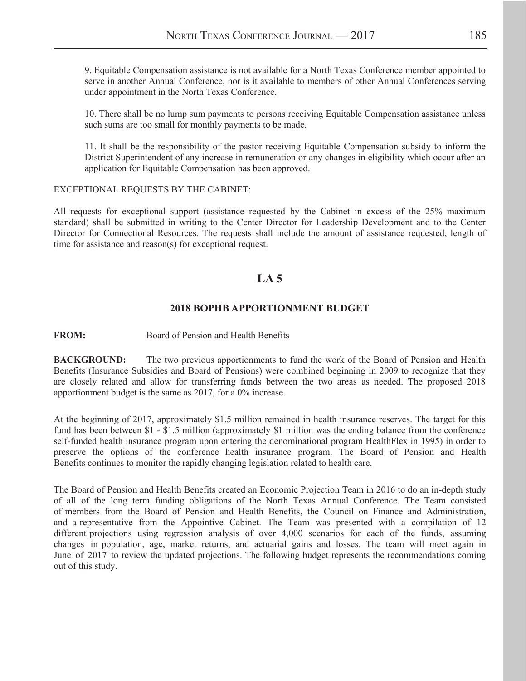9. Equitable Compensation assistance is not available for a North Texas Conference member appointed to serve in another Annual Conference, nor is it available to members of other Annual Conferences serving under appointment in the North Texas Conference.

10. There shall be no lump sum payments to persons receiving Equitable Compensation assistance unless such sums are too small for monthly payments to be made.

11. It shall be the responsibility of the pastor receiving Equitable Compensation subsidy to inform the District Superintendent of any increase in remuneration or any changes in eligibility which occur after an application for Equitable Compensation has been approved.

#### EXCEPTIONAL REQUESTS BY THE CABINET:

All requests for exceptional support (assistance requested by the Cabinet in excess of the 25% maximum standard) shall be submitted in writing to the Center Director for Leadership Development and to the Center Director for Connectional Resources. The requests shall include the amount of assistance requested, length of time for assistance and reason(s) for exceptional request.

### **LA 5**

#### **2018 BOPHB APPORTIONMENT BUDGET**

#### **FROM:** Board of Pension and Health Benefits

**BACKGROUND:** The two previous apportionments to fund the work of the Board of Pension and Health Benefits (Insurance Subsidies and Board of Pensions) were combined beginning in 2009 to recognize that they are closely related and allow for transferring funds between the two areas as needed. The proposed 2018 apportionment budget is the same as 2017, for a 0% increase.

At the beginning of 2017, approximately \$1.5 million remained in health insurance reserves. The target for this fund has been between \$1 - \$1.5 million (approximately \$1 million was the ending balance from the conference self-funded health insurance program upon entering the denominational program HealthFlex in 1995) in order to preserve the options of the conference health insurance program. The Board of Pension and Health Benefits continues to monitor the rapidly changing legislation related to health care.

The Board of Pension and Health Benefits created an Economic Projection Team in 2016 to do an in-depth study of all of the long term funding obligations of the North Texas Annual Conference. The Team consisted of members from the Board of Pension and Health Benefits, the Council on Finance and Administration, and a representative from the Appointive Cabinet. The Team was presented with a compilation of 12 different projections using regression analysis of over 4,000 scenarios for each of the funds, assuming changes in population, age, market returns, and actuarial gains and losses. The team will meet again in June of 2017 to review the updated projections. The following budget represents the recommendations coming out of this study.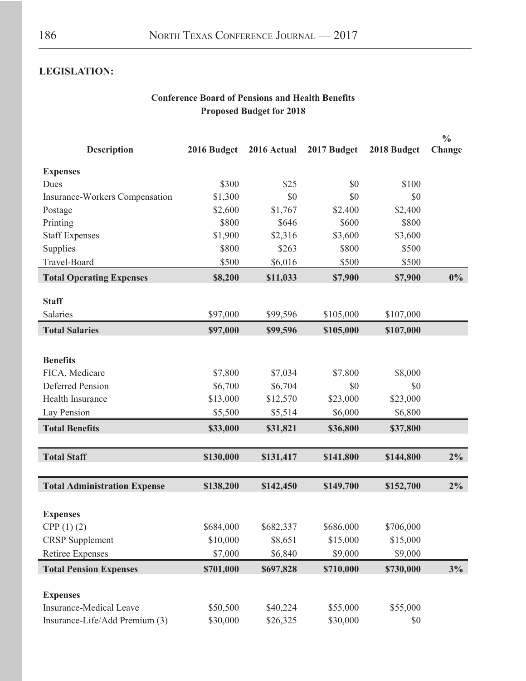### **LEGISLATION:**

### **Conference Board of Pensions and Health Benefits Proposed Budget for 2018**

|                                       |             |             |             |             | $\frac{6}{9}$ |
|---------------------------------------|-------------|-------------|-------------|-------------|---------------|
| <b>Description</b>                    | 2016 Budget | 2016 Actual | 2017 Budget | 2018 Budget | Change        |
| <b>Expenses</b>                       |             |             |             |             |               |
| Dues                                  | \$300       | \$25        | \$0         | \$100       |               |
| <b>Insurance-Workers Compensation</b> | \$1,300     | \$0         | \$0         | \$0         |               |
| Postage                               | \$2,600     | \$1,767     | \$2,400     | \$2,400     |               |
| Printing                              | \$800       | \$646       | \$600       | \$800       |               |
| <b>Staff Expenses</b>                 | \$1,900     | \$2,316     | \$3,600     | \$3,600     |               |
| Supplies                              | \$800       | \$263       | \$800       | \$500       |               |
| Travel-Board                          | \$500       | \$6,016     | \$500       | \$500       |               |
| <b>Total Operating Expenses</b>       | \$8,200     | \$11,033    | \$7,900     | \$7,900     | $0\%$         |
| <b>Staff</b>                          |             |             |             |             |               |
| Salaries                              | \$97,000    | \$99,596    | \$105,000   | \$107,000   |               |
| <b>Total Salaries</b>                 | \$97,000    | \$99,596    | \$105,000   | \$107,000   |               |
|                                       |             |             |             |             |               |
| <b>Benefits</b>                       |             |             |             |             |               |
| FICA, Medicare                        | \$7,800     | \$7,034     | \$7,800     | \$8,000     |               |
| <b>Deferred Pension</b>               | \$6,700     | \$6,704     | \$0         | \$0         |               |
| Health Insurance                      | \$13,000    | \$12,570    | \$23,000    | \$23,000    |               |
| Lay Pension                           | \$5,500     | \$5,514     | \$6,000     | \$6,800     |               |
| <b>Total Benefits</b>                 | \$33,000    | \$31,821    | \$36,800    | \$37,800    |               |
|                                       |             |             |             |             |               |
| <b>Total Staff</b>                    | \$130,000   | \$131,417   | \$141,800   | \$144,800   | $2\%$         |
| <b>Total Administration Expense</b>   | \$138,200   | \$142,450   | \$149,700   | \$152,700   | $2\%$         |
|                                       |             |             |             |             |               |
| <b>Expenses</b>                       |             |             |             |             |               |
| CPP(1) (2)                            | \$684,000   | \$682,337   | \$686,000   | \$706,000   |               |
| <b>CRSP</b> Supplement                | \$10,000    | \$8,651     | \$15,000    | \$15,000    |               |
| <b>Retiree Expenses</b>               | \$7,000     | \$6,840     | \$9,000     | \$9,000     |               |
| <b>Total Pension Expenses</b>         | \$701,000   | \$697,828   | \$710,000   | \$730,000   | 3%            |
|                                       |             |             |             |             |               |
| <b>Expenses</b>                       |             |             |             |             |               |
| <b>Insurance-Medical Leave</b>        | \$50,500    | \$40,224    | \$55,000    | \$55,000    |               |
| Insurance-Life/Add Premium (3)        | \$30,000    | \$26,325    | \$30,000    | \$0         |               |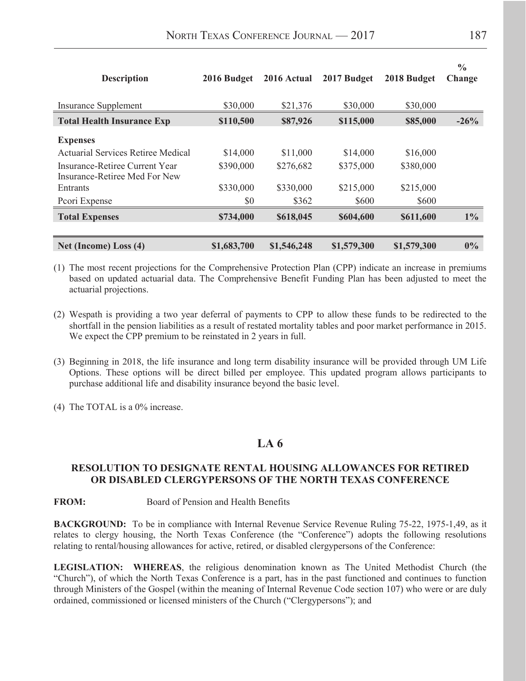| <b>Description</b>                                              | 2016 Budget | 2016 Actual | 2017 Budget | 2018 Budget | $\frac{6}{9}$<br>Change |
|-----------------------------------------------------------------|-------------|-------------|-------------|-------------|-------------------------|
| <b>Insurance Supplement</b>                                     | \$30,000    | \$21,376    | \$30,000    | \$30,000    |                         |
| <b>Total Health Insurance Exp</b>                               | \$110,500   | \$87,926    | \$115,000   | \$85,000    | $-26%$                  |
| <b>Expenses</b>                                                 |             |             |             |             |                         |
| <b>Actuarial Services Retiree Medical</b>                       | \$14,000    | \$11,000    | \$14,000    | \$16,000    |                         |
| Insurance-Retiree Current Year<br>Insurance-Retiree Med For New | \$390,000   | \$276,682   | \$375,000   | \$380,000   |                         |
| Entrants                                                        | \$330,000   | \$330,000   | \$215,000   | \$215,000   |                         |
| Pcori Expense                                                   | \$0         | \$362       | \$600       | \$600       |                         |
| <b>Total Expenses</b>                                           | \$734,000   | \$618,045   | \$604,600   | \$611,600   | $1\%$                   |
| Net (Income) Loss (4)                                           | \$1,683,700 | \$1,546,248 | \$1,579,300 | \$1,579,300 | $0\%$                   |

(1) The most recent projections for the Comprehensive Protection Plan (CPP) indicate an increase in premiums based on updated actuarial data. The Comprehensive Benefit Funding Plan has been adjusted to meet the actuarial projections.

- (2) Wespath is providing a two year deferral of payments to CPP to allow these funds to be redirected to the shortfall in the pension liabilities as a result of restated mortality tables and poor market performance in 2015. We expect the CPP premium to be reinstated in 2 years in full.
- (3) Beginning in 2018, the life insurance and long term disability insurance will be provided through UM Life Options. These options will be direct billed per employee. This updated program allows participants to purchase additional life and disability insurance beyond the basic level.
- (4) The TOTAL is a 0% increase.

### **LA 6**

#### **RESOLUTION TO DESIGNATE RENTAL HOUSING ALLOWANCES FOR RETIRED OR DISABLED CLERGYPERSONS OF THE NORTH TEXAS CONFERENCE**

**FROM:** Board of Pension and Health Benefits

**BACKGROUND:** To be in compliance with Internal Revenue Service Revenue Ruling 75-22, 1975-1,49, as it relates to clergy housing, the North Texas Conference (the "Conference") adopts the following resolutions relating to rental/housing allowances for active, retired, or disabled clergypersons of the Conference:

**LEGISLATION: WHEREAS**, the religious denomination known as The United Methodist Church (the "Church"), of which the North Texas Conference is a part, has in the past functioned and continues to function through Ministers of the Gospel (within the meaning of Internal Revenue Code section 107) who were or are duly ordained, commissioned or licensed ministers of the Church ("Clergypersons"); and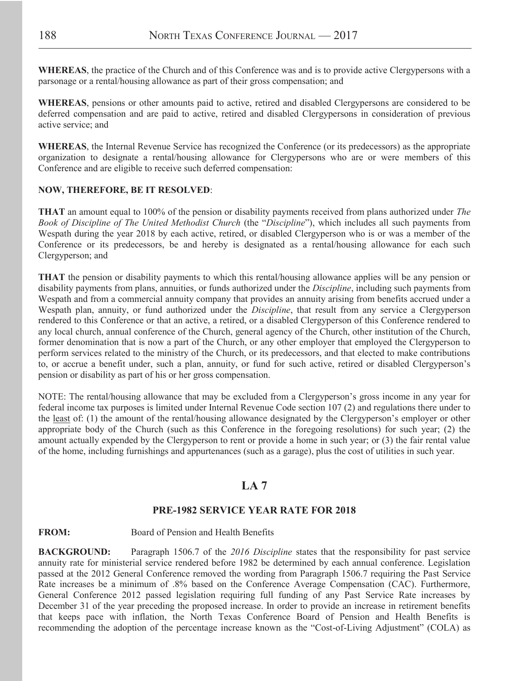**WHEREAS**, the practice of the Church and of this Conference was and is to provide active Clergypersons with a parsonage or a rental/housing allowance as part of their gross compensation; and

**WHEREAS**, pensions or other amounts paid to active, retired and disabled Clergypersons are considered to be deferred compensation and are paid to active, retired and disabled Clergypersons in consideration of previous active service; and

**WHEREAS**, the Internal Revenue Service has recognized the Conference (or its predecessors) as the appropriate organization to designate a rental/housing allowance for Clergypersons who are or were members of this Conference and are eligible to receive such deferred compensation:

#### **NOW, THEREFORE, BE IT RESOLVED**:

**THAT** an amount equal to 100% of the pension or disability payments received from plans authorized under *The Book of Discipline of The United Methodist Church* (the "*Discipline*"), which includes all such payments from Wespath during the year 2018 by each active, retired, or disabled Clergyperson who is or was a member of the Conference or its predecessors, be and hereby is designated as a rental/housing allowance for each such Clergyperson; and

**THAT** the pension or disability payments to which this rental/housing allowance applies will be any pension or disability payments from plans, annuities, or funds authorized under the *Discipline*, including such payments from Wespath and from a commercial annuity company that provides an annuity arising from benefits accrued under a Wespath plan, annuity, or fund authorized under the *Discipline*, that result from any service a Clergyperson rendered to this Conference or that an active, a retired, or a disabled Clergyperson of this Conference rendered to any local church, annual conference of the Church, general agency of the Church, other institution of the Church, former denomination that is now a part of the Church, or any other employer that employed the Clergyperson to perform services related to the ministry of the Church, or its predecessors, and that elected to make contributions to, or accrue a benefit under, such a plan, annuity, or fund for such active, retired or disabled Clergyperson's pension or disability as part of his or her gross compensation.

NOTE: The rental/housing allowance that may be excluded from a Clergyperson's gross income in any year for federal income tax purposes is limited under Internal Revenue Code section 107 (2) and regulations there under to the least of: (1) the amount of the rental/housing allowance designated by the Clergyperson's employer or other appropriate body of the Church (such as this Conference in the foregoing resolutions) for such year; (2) the amount actually expended by the Clergyperson to rent or provide a home in such year; or (3) the fair rental value of the home, including furnishings and appurtenances (such as a garage), plus the cost of utilities in such year.

### **LA 7**

#### **PRE-1982 SERVICE YEAR RATE FOR 2018**

#### **FROM:** Board of Pension and Health Benefits

**BACKGROUND:** Paragraph 1506.7 of the *2016 Discipline* states that the responsibility for past service annuity rate for ministerial service rendered before 1982 be determined by each annual conference. Legislation passed at the 2012 General Conference removed the wording from Paragraph 1506.7 requiring the Past Service Rate increases be a minimum of .8% based on the Conference Average Compensation (CAC). Furthermore, General Conference 2012 passed legislation requiring full funding of any Past Service Rate increases by December 31 of the year preceding the proposed increase. In order to provide an increase in retirement benefits that keeps pace with inflation, the North Texas Conference Board of Pension and Health Benefits is recommending the adoption of the percentage increase known as the "Cost-of-Living Adjustment" (COLA) as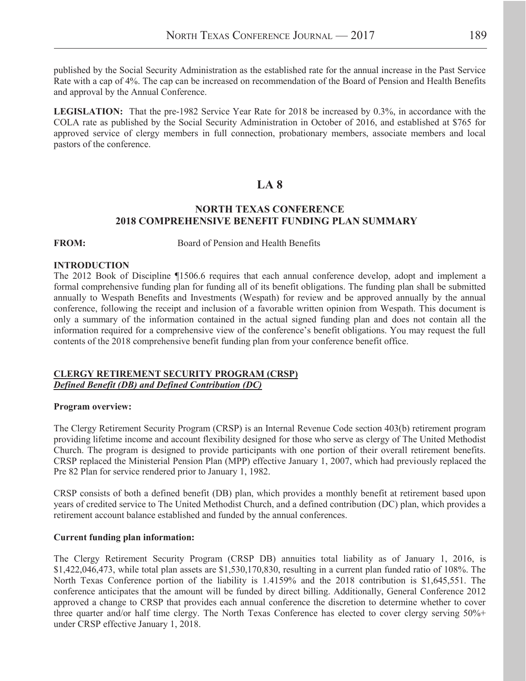published by the Social Security Administration as the established rate for the annual increase in the Past Service Rate with a cap of 4%. The cap can be increased on recommendation of the Board of Pension and Health Benefits and approval by the Annual Conference.

**LEGISLATION:** That the pre-1982 Service Year Rate for 2018 be increased by 0.3%, in accordance with the COLA rate as published by the Social Security Administration in October of 2016, and established at \$765 for approved service of clergy members in full connection, probationary members, associate members and local pastors of the conference.

### **LA 8**

#### **NORTH TEXAS CONFERENCE 2018 COMPREHENSIVE BENEFIT FUNDING PLAN SUMMARY**

**FROM:** Board of Pension and Health Benefits

#### **INTRODUCTION**

The 2012 Book of Discipline ¶1506.6 requires that each annual conference develop, adopt and implement a formal comprehensive funding plan for funding all of its benefit obligations. The funding plan shall be submitted annually to Wespath Benefits and Investments (Wespath) for review and be approved annually by the annual conference, following the receipt and inclusion of a favorable written opinion from Wespath. This document is only a summary of the information contained in the actual signed funding plan and does not contain all the information required for a comprehensive view of the conference's benefit obligations. You may request the full contents of the 2018 comprehensive benefit funding plan from your conference benefit office.

#### **CLERGY RETIREMENT SECURITY PROGRAM (CRSP)** *Defined Benefit (DB) and Defined Contribution (DC)*

#### **Program overview:**

The Clergy Retirement Security Program (CRSP) is an Internal Revenue Code section 403(b) retirement program providing lifetime income and account flexibility designed for those who serve as clergy of The United Methodist Church. The program is designed to provide participants with one portion of their overall retirement benefits. CRSP replaced the Ministerial Pension Plan (MPP) effective January 1, 2007, which had previously replaced the Pre 82 Plan for service rendered prior to January 1, 1982.

CRSP consists of both a defined benefit (DB) plan, which provides a monthly benefit at retirement based upon years of credited service to The United Methodist Church, and a defined contribution (DC) plan, which provides a retirement account balance established and funded by the annual conferences.

#### **Current funding plan information:**

The Clergy Retirement Security Program (CRSP DB) annuities total liability as of January 1, 2016, is \$1,422,046,473, while total plan assets are \$1,530,170,830, resulting in a current plan funded ratio of 108%. The North Texas Conference portion of the liability is 1.4159% and the 2018 contribution is \$1,645,551. The conference anticipates that the amount will be funded by direct billing. Additionally, General Conference 2012 approved a change to CRSP that provides each annual conference the discretion to determine whether to cover three quarter and/or half time clergy. The North Texas Conference has elected to cover clergy serving 50%+ under CRSP effective January 1, 2018.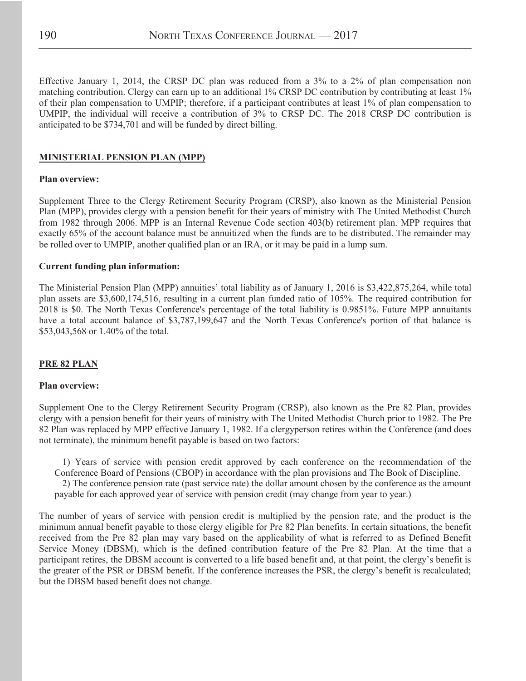Effective January 1, 2014, the CRSP DC plan was reduced from a 3% to a 2% of plan compensation non matching contribution. Clergy can earn up to an additional 1% CRSP DC contribution by contributing at least 1% of their plan compensation to UMPIP; therefore, if a participant contributes at least 1% of plan compensation to UMPIP, the individual will receive a contribution of 3% to CRSP DC. The 2018 CRSP DC contribution is anticipated to be \$734,701 and will be funded by direct billing.

#### **MINISTERIAL PENSION PLAN (MPP)**

#### **Plan overview:**

Supplement Three to the Clergy Retirement Security Program (CRSP), also known as the Ministerial Pension Plan (MPP), provides clergy with a pension benefit for their years of ministry with The United Methodist Church from 1982 through 2006. MPP is an Internal Revenue Code section 403(b) retirement plan. MPP requires that exactly 65% of the account balance must be annuitized when the funds are to be distributed. The remainder may be rolled over to UMPIP, another qualified plan or an IRA, or it may be paid in a lump sum.

#### **Current funding plan information:**

The Ministerial Pension Plan (MPP) annuities' total liability as of January 1, 2016 is \$3,422,875,264, while total plan assets are \$3,600,174,516, resulting in a current plan funded ratio of 105%. The required contribution for 2018 is \$0. The North Texas Conference's percentage of the total liability is 0.9851%. Future MPP annuitants have a total account balance of \$3,787,199,647 and the North Texas Conference's portion of that balance is \$53,043,568 or 1.40% of the total.

#### **PRE 82 PLAN**

#### **Plan overview:**

Supplement One to the Clergy Retirement Security Program (CRSP), also known as the Pre 82 Plan, provides clergy with a pension benefit for their years of ministry with The United Methodist Church prior to 1982. The Pre 82 Plan was replaced by MPP effective January 1, 1982. If a clergyperson retires within the Conference (and does not terminate), the minimum benefit payable is based on two factors:

1) Years of service with pension credit approved by each conference on the recommendation of the Conference Board of Pensions (CBOP) in accordance with the plan provisions and The Book of Discipline. 2) The conference pension rate (past service rate) the dollar amount chosen by the conference as the amount payable for each approved year of service with pension credit (may change from year to year.)

The number of years of service with pension credit is multiplied by the pension rate, and the product is the minimum annual benefit payable to those clergy eligible for Pre 82 Plan benefits. In certain situations, the benefit received from the Pre 82 plan may vary based on the applicability of what is referred to as Defined Benefit Service Money (DBSM), which is the defined contribution feature of the Pre 82 Plan. At the time that a participant retires, the DBSM account is converted to a life based benefit and, at that point, the clergy's benefit is the greater of the PSR or DBSM benefit. If the conference increases the PSR, the clergy's benefit is recalculated; but the DBSM based benefit does not change.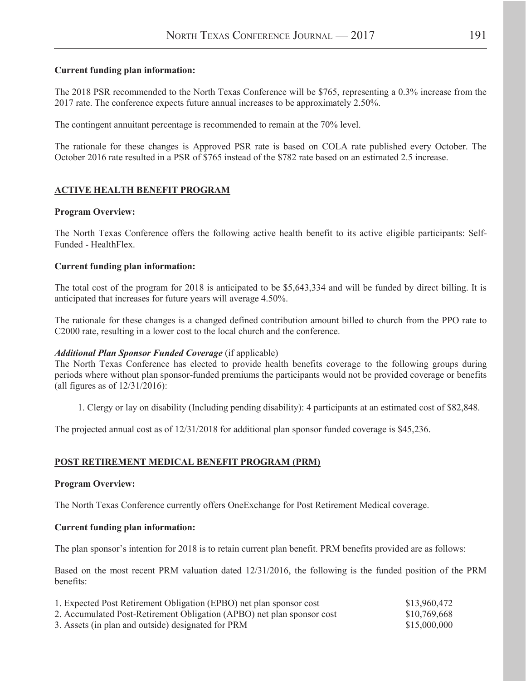#### **Current funding plan information:**

The 2018 PSR recommended to the North Texas Conference will be \$765, representing a 0.3% increase from the 2017 rate. The conference expects future annual increases to be approximately 2.50%.

The contingent annuitant percentage is recommended to remain at the 70% level.

The rationale for these changes is Approved PSR rate is based on COLA rate published every October. The October 2016 rate resulted in a PSR of \$765 instead of the \$782 rate based on an estimated 2.5 increase.

#### **ACTIVE HEALTH BENEFIT PROGRAM**

#### **Program Overview:**

The North Texas Conference offers the following active health benefit to its active eligible participants: Self-Funded - HealthFlex.

#### **Current funding plan information:**

The total cost of the program for 2018 is anticipated to be \$5,643,334 and will be funded by direct billing. It is anticipated that increases for future years will average 4.50%.

The rationale for these changes is a changed defined contribution amount billed to church from the PPO rate to C2000 rate, resulting in a lower cost to the local church and the conference.

#### *Additional Plan Sponsor Funded Coverage* (if applicable)

The North Texas Conference has elected to provide health benefits coverage to the following groups during periods where without plan sponsor-funded premiums the participants would not be provided coverage or benefits (all figures as of 12/31/2016):

1. Clergy or lay on disability (Including pending disability): 4 participants at an estimated cost of \$82,848.

The projected annual cost as of 12/31/2018 for additional plan sponsor funded coverage is \$45,236.

#### **POST RETIREMENT MEDICAL BENEFIT PROGRAM (PRM)**

#### **Program Overview:**

The North Texas Conference currently offers OneExchange for Post Retirement Medical coverage.

#### **Current funding plan information:**

The plan sponsor's intention for 2018 is to retain current plan benefit. PRM benefits provided are as follows:

Based on the most recent PRM valuation dated 12/31/2016, the following is the funded position of the PRM benefits:

| 1. Expected Post Retirement Obligation (EPBO) net plan sponsor cost    | \$13,960,472 |
|------------------------------------------------------------------------|--------------|
| 2. Accumulated Post-Retirement Obligation (APBO) net plan sponsor cost | \$10,769,668 |
| 3. Assets (in plan and outside) designated for PRM                     | \$15,000,000 |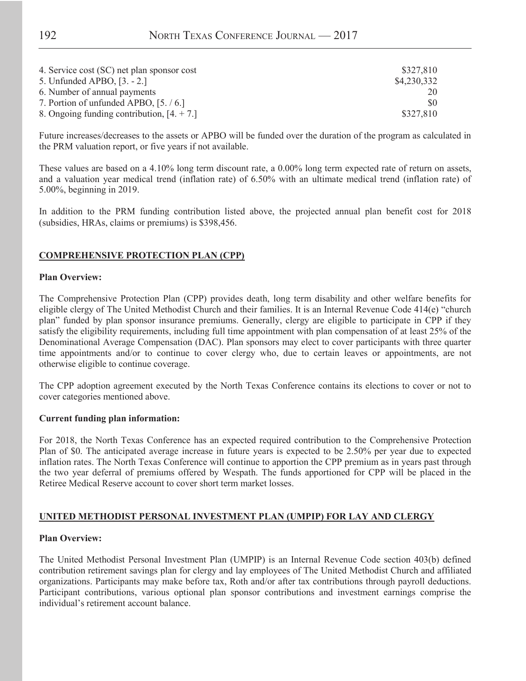| 4. Service cost (SC) net plan sponsor cost | \$327,810   |
|--------------------------------------------|-------------|
| 5. Unfunded APBO, [3. - 2.]                | \$4,230,332 |
| 6. Number of annual payments               | 20          |
| 7. Portion of unfunded APBO, [5. / 6.]     | \$0         |
| 8. Ongoing funding contribution, $[4, +7]$ | \$327,810   |

Future increases/decreases to the assets or APBO will be funded over the duration of the program as calculated in the PRM valuation report, or five years if not available.

These values are based on a 4.10% long term discount rate, a 0.00% long term expected rate of return on assets, and a valuation year medical trend (inflation rate) of 6.50% with an ultimate medical trend (inflation rate) of 5.00%, beginning in 2019.

In addition to the PRM funding contribution listed above, the projected annual plan benefit cost for 2018 (subsidies, HRAs, claims or premiums) is \$398,456.

#### **COMPREHENSIVE PROTECTION PLAN (CPP)**

#### **Plan Overview:**

The Comprehensive Protection Plan (CPP) provides death, long term disability and other welfare benefits for eligible clergy of The United Methodist Church and their families. It is an Internal Revenue Code 414(e) "church plan" funded by plan sponsor insurance premiums. Generally, clergy are eligible to participate in CPP if they satisfy the eligibility requirements, including full time appointment with plan compensation of at least 25% of the Denominational Average Compensation (DAC). Plan sponsors may elect to cover participants with three quarter time appointments and/or to continue to cover clergy who, due to certain leaves or appointments, are not otherwise eligible to continue coverage.

The CPP adoption agreement executed by the North Texas Conference contains its elections to cover or not to cover categories mentioned above.

#### **Current funding plan information:**

For 2018, the North Texas Conference has an expected required contribution to the Comprehensive Protection Plan of \$0. The anticipated average increase in future years is expected to be 2.50% per year due to expected inflation rates. The North Texas Conference will continue to apportion the CPP premium as in years past through the two year deferral of premiums offered by Wespath. The funds apportioned for CPP will be placed in the Retiree Medical Reserve account to cover short term market losses.

#### **UNITED METHODIST PERSONAL INVESTMENT PLAN (UMPIP) FOR LAY AND CLERGY**

#### **Plan Overview:**

The United Methodist Personal Investment Plan (UMPIP) is an Internal Revenue Code section 403(b) defined contribution retirement savings plan for clergy and lay employees of The United Methodist Church and affiliated organizations. Participants may make before tax, Roth and/or after tax contributions through payroll deductions. Participant contributions, various optional plan sponsor contributions and investment earnings comprise the individual's retirement account balance.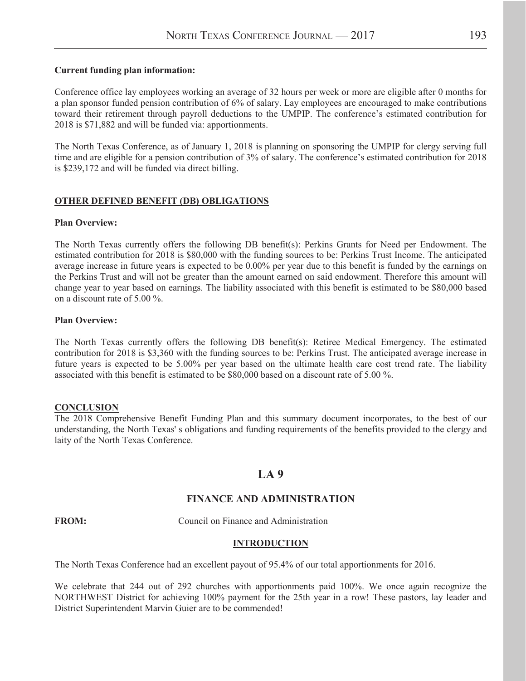#### **Current funding plan information:**

Conference office lay employees working an average of 32 hours per week or more are eligible after 0 months for a plan sponsor funded pension contribution of 6% of salary. Lay employees are encouraged to make contributions toward their retirement through payroll deductions to the UMPIP. The conference's estimated contribution for 2018 is \$71,882 and will be funded via: apportionments.

The North Texas Conference, as of January 1, 2018 is planning on sponsoring the UMPIP for clergy serving full time and are eligible for a pension contribution of 3% of salary. The conference's estimated contribution for 2018 is \$239,172 and will be funded via direct billing.

#### **OTHER DEFINED BENEFIT (DB) OBLIGATIONS**

#### **Plan Overview:**

The North Texas currently offers the following DB benefit(s): Perkins Grants for Need per Endowment. The estimated contribution for 2018 is \$80,000 with the funding sources to be: Perkins Trust Income. The anticipated average increase in future years is expected to be 0.00% per year due to this benefit is funded by the earnings on the Perkins Trust and will not be greater than the amount earned on said endowment. Therefore this amount will change year to year based on earnings. The liability associated with this benefit is estimated to be \$80,000 based on a discount rate of 5.00 %.

#### **Plan Overview:**

The North Texas currently offers the following DB benefit(s): Retiree Medical Emergency. The estimated contribution for 2018 is \$3,360 with the funding sources to be: Perkins Trust. The anticipated average increase in future years is expected to be 5.00% per year based on the ultimate health care cost trend rate. The liability associated with this benefit is estimated to be \$80,000 based on a discount rate of 5.00 %.

#### **CONCLUSION**

The 2018 Comprehensive Benefit Funding Plan and this summary document incorporates, to the best of our understanding, the North Texas' s obligations and funding requirements of the benefits provided to the clergy and laity of the North Texas Conference.

### **LA 9**

#### **FINANCE AND ADMINISTRATION**

**FROM:** Council on Finance and Administration

#### **INTRODUCTION**

The North Texas Conference had an excellent payout of 95.4% of our total apportionments for 2016.

We celebrate that 244 out of 292 churches with apportionments paid 100%. We once again recognize the NORTHWEST District for achieving 100% payment for the 25th year in a row! These pastors, lay leader and District Superintendent Marvin Guier are to be commended!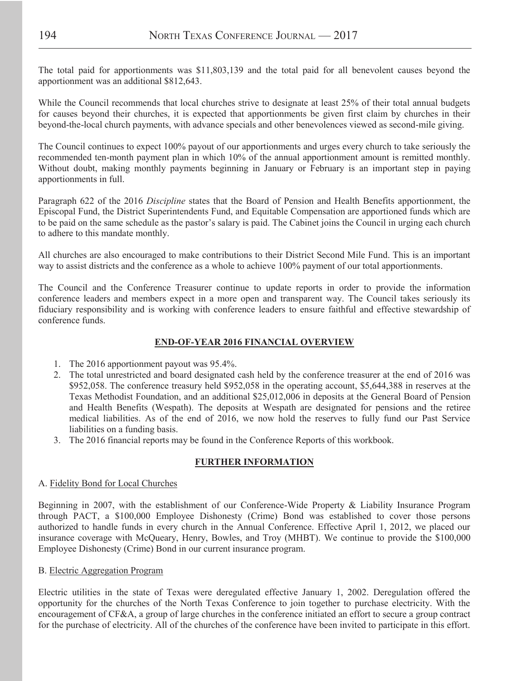The total paid for apportionments was \$11,803,139 and the total paid for all benevolent causes beyond the apportionment was an additional \$812,643.

While the Council recommends that local churches strive to designate at least 25% of their total annual budgets for causes beyond their churches, it is expected that apportionments be given first claim by churches in their beyond-the-local church payments, with advance specials and other benevolences viewed as second-mile giving.

The Council continues to expect 100% payout of our apportionments and urges every church to take seriously the recommended ten-month payment plan in which 10% of the annual apportionment amount is remitted monthly. Without doubt, making monthly payments beginning in January or February is an important step in paying apportionments in full.

Paragraph 622 of the 2016 *Discipline* states that the Board of Pension and Health Benefits apportionment, the Episcopal Fund, the District Superintendents Fund, and Equitable Compensation are apportioned funds which are to be paid on the same schedule as the pastor's salary is paid. The Cabinet joins the Council in urging each church to adhere to this mandate monthly.

All churches are also encouraged to make contributions to their District Second Mile Fund. This is an important way to assist districts and the conference as a whole to achieve 100% payment of our total apportionments.

The Council and the Conference Treasurer continue to update reports in order to provide the information conference leaders and members expect in a more open and transparent way. The Council takes seriously its fiduciary responsibility and is working with conference leaders to ensure faithful and effective stewardship of conference funds.

#### **END-OF-YEAR 2016 FINANCIAL OVERVIEW**

- 1. The 2016 apportionment payout was 95.4%.
- 2. The total unrestricted and board designated cash held by the conference treasurer at the end of 2016 was \$952,058. The conference treasury held \$952,058 in the operating account, \$5,644,388 in reserves at the Texas Methodist Foundation, and an additional \$25,012,006 in deposits at the General Board of Pension and Health Benefits (Wespath). The deposits at Wespath are designated for pensions and the retiree medical liabilities. As of the end of 2016, we now hold the reserves to fully fund our Past Service liabilities on a funding basis.
- 3. The 2016 financial reports may be found in the Conference Reports of this workbook.

#### **FURTHER INFORMATION**

#### A. Fidelity Bond for Local Churches

Beginning in 2007, with the establishment of our Conference-Wide Property & Liability Insurance Program through PACT, a \$100,000 Employee Dishonesty (Crime) Bond was established to cover those persons authorized to handle funds in every church in the Annual Conference. Effective April 1, 2012, we placed our insurance coverage with McQueary, Henry, Bowles, and Troy (MHBT). We continue to provide the \$100,000 Employee Dishonesty (Crime) Bond in our current insurance program.

#### B. Electric Aggregation Program

Electric utilities in the state of Texas were deregulated effective January 1, 2002. Deregulation offered the opportunity for the churches of the North Texas Conference to join together to purchase electricity. With the encouragement of CF&A, a group of large churches in the conference initiated an effort to secure a group contract for the purchase of electricity. All of the churches of the conference have been invited to participate in this effort.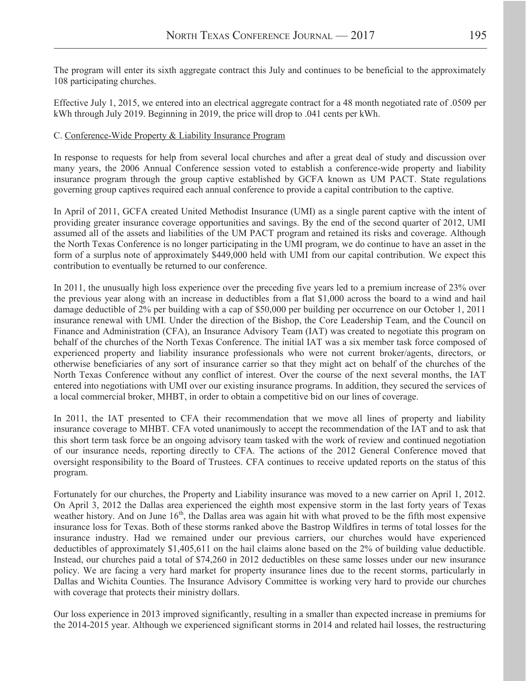The program will enter its sixth aggregate contract this July and continues to be beneficial to the approximately 108 participating churches.

Effective July 1, 2015, we entered into an electrical aggregate contract for a 48 month negotiated rate of .0509 per kWh through July 2019. Beginning in 2019, the price will drop to .041 cents per kWh.

#### C. Conference-Wide Property & Liability Insurance Program

In response to requests for help from several local churches and after a great deal of study and discussion over many years, the 2006 Annual Conference session voted to establish a conference-wide property and liability insurance program through the group captive established by GCFA known as UM PACT. State regulations governing group captives required each annual conference to provide a capital contribution to the captive.

In April of 2011, GCFA created United Methodist Insurance (UMI) as a single parent captive with the intent of providing greater insurance coverage opportunities and savings. By the end of the second quarter of 2012, UMI assumed all of the assets and liabilities of the UM PACT program and retained its risks and coverage. Although the North Texas Conference is no longer participating in the UMI program, we do continue to have an asset in the form of a surplus note of approximately \$449,000 held with UMI from our capital contribution. We expect this contribution to eventually be returned to our conference.

In 2011, the unusually high loss experience over the preceding five years led to a premium increase of 23% over the previous year along with an increase in deductibles from a flat \$1,000 across the board to a wind and hail damage deductible of 2% per building with a cap of \$50,000 per building per occurrence on our October 1, 2011 insurance renewal with UMI. Under the direction of the Bishop, the Core Leadership Team, and the Council on Finance and Administration (CFA), an Insurance Advisory Team (IAT) was created to negotiate this program on behalf of the churches of the North Texas Conference. The initial IAT was a six member task force composed of experienced property and liability insurance professionals who were not current broker/agents, directors, or otherwise beneficiaries of any sort of insurance carrier so that they might act on behalf of the churches of the North Texas Conference without any conflict of interest. Over the course of the next several months, the IAT entered into negotiations with UMI over our existing insurance programs. In addition, they secured the services of a local commercial broker, MHBT, in order to obtain a competitive bid on our lines of coverage.

In 2011, the IAT presented to CFA their recommendation that we move all lines of property and liability insurance coverage to MHBT. CFA voted unanimously to accept the recommendation of the IAT and to ask that this short term task force be an ongoing advisory team tasked with the work of review and continued negotiation of our insurance needs, reporting directly to CFA. The actions of the 2012 General Conference moved that oversight responsibility to the Board of Trustees. CFA continues to receive updated reports on the status of this program.

Fortunately for our churches, the Property and Liability insurance was moved to a new carrier on April 1, 2012. On April 3, 2012 the Dallas area experienced the eighth most expensive storm in the last forty years of Texas weather history. And on June  $16<sup>th</sup>$ , the Dallas area was again hit with what proved to be the fifth most expensive insurance loss for Texas. Both of these storms ranked above the Bastrop Wildfires in terms of total losses for the insurance industry. Had we remained under our previous carriers, our churches would have experienced deductibles of approximately \$1,405,611 on the hail claims alone based on the 2% of building value deductible. Instead, our churches paid a total of \$74,260 in 2012 deductibles on these same losses under our new insurance policy. We are facing a very hard market for property insurance lines due to the recent storms, particularly in Dallas and Wichita Counties. The Insurance Advisory Committee is working very hard to provide our churches with coverage that protects their ministry dollars.

Our loss experience in 2013 improved significantly, resulting in a smaller than expected increase in premiums for the 2014-2015 year. Although we experienced significant storms in 2014 and related hail losses, the restructuring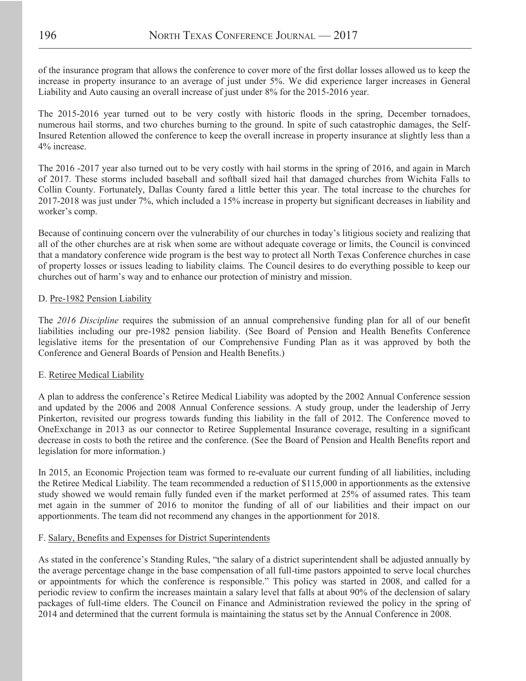of the insurance program that allows the conference to cover more of the first dollar losses allowed us to keep the increase in property insurance to an average of just under 5%. We did experience larger increases in General Liability and Auto causing an overall increase of just under 8% for the 2015-2016 year.

The 2015-2016 year turned out to be very costly with historic floods in the spring, December tornadoes, numerous hail storms, and two churches burning to the ground. In spite of such catastrophic damages, the Self-Insured Retention allowed the conference to keep the overall increase in property insurance at slightly less than a 4% increase.

The 2016 -2017 year also turned out to be very costly with hail storms in the spring of 2016, and again in March of 2017. These storms included baseball and softball sized hail that damaged churches from Wichita Falls to Collin County. Fortunately, Dallas County fared a little better this year. The total increase to the churches for 2017-2018 was just under 7%, which included a 15% increase in property but significant decreases in liability and worker's comp.

Because of continuing concern over the vulnerability of our churches in today's litigious society and realizing that all of the other churches are at risk when some are without adequate coverage or limits, the Council is convinced that a mandatory conference wide program is the best way to protect all North Texas Conference churches in case of property losses or issues leading to liability claims. The Council desires to do everything possible to keep our churches out of harm's way and to enhance our protection of ministry and mission.

#### D. Pre-1982 Pension Liability

The *2016 Discipline* requires the submission of an annual comprehensive funding plan for all of our benefit liabilities including our pre-1982 pension liability. (See Board of Pension and Health Benefits Conference legislative items for the presentation of our Comprehensive Funding Plan as it was approved by both the Conference and General Boards of Pension and Health Benefits.)

#### E. Retiree Medical Liability

A plan to address the conference's Retiree Medical Liability was adopted by the 2002 Annual Conference session and updated by the 2006 and 2008 Annual Conference sessions. A study group, under the leadership of Jerry Pinkerton, revisited our progress towards funding this liability in the fall of 2012. The Conference moved to OneExchange in 2013 as our connector to Retiree Supplemental Insurance coverage, resulting in a significant decrease in costs to both the retiree and the conference. (See the Board of Pension and Health Benefits report and legislation for more information.)

In 2015, an Economic Projection team was formed to re-evaluate our current funding of all liabilities, including the Retiree Medical Liability. The team recommended a reduction of \$115,000 in apportionments as the extensive study showed we would remain fully funded even if the market performed at 25% of assumed rates. This team met again in the summer of 2016 to monitor the funding of all of our liabilities and their impact on our apportionments. The team did not recommend any changes in the apportionment for 2018.

#### F. Salary, Benefits and Expenses for District Superintendents

As stated in the conference's Standing Rules, "the salary of a district superintendent shall be adjusted annually by the average percentage change in the base compensation of all full-time pastors appointed to serve local churches or appointments for which the conference is responsible." This policy was started in 2008, and called for a periodic review to confirm the increases maintain a salary level that falls at about 90% of the declension of salary packages of full-time elders. The Council on Finance and Administration reviewed the policy in the spring of 2014 and determined that the current formula is maintaining the status set by the Annual Conference in 2008.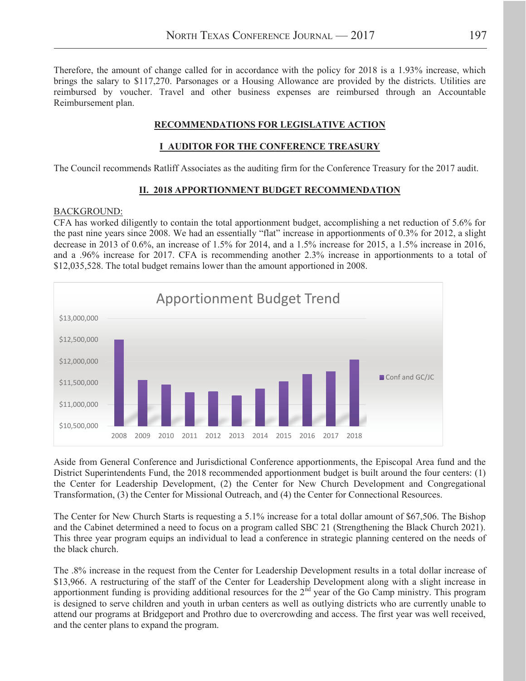Therefore, the amount of change called for in accordance with the policy for 2018 is a 1.93% increase, which brings the salary to \$117,270. Parsonages or a Housing Allowance are provided by the districts. Utilities are reimbursed by voucher. Travel and other business expenses are reimbursed through an Accountable Reimbursement plan.

#### **RECOMMENDATIONS FOR LEGISLATIVE ACTION**

#### **I AUDITOR FOR THE CONFERENCE TREASURY**

The Council recommends Ratliff Associates as the auditing firm for the Conference Treasury for the 2017 audit.

#### **II. 2018 APPORTIONMENT BUDGET RECOMMENDATION**

#### BACKGROUND:

CFA has worked diligently to contain the total apportionment budget, accomplishing a net reduction of 5.6% for the past nine years since 2008. We had an essentially "flat" increase in apportionments of 0.3% for 2012, a slight decrease in 2013 of 0.6%, an increase of 1.5% for 2014, and a 1.5% increase for 2015, a 1.5% increase in 2016, and a .96% increase for 2017. CFA is recommending another 2.3% increase in apportionments to a total of \$12,035,528. The total budget remains lower than the amount apportioned in 2008.



Aside from General Conference and Jurisdictional Conference apportionments, the Episcopal Area fund and the District Superintendents Fund, the 2018 recommended apportionment budget is built around the four centers: (1) the Center for Leadership Development, (2) the Center for New Church Development and Congregational Transformation, (3) the Center for Missional Outreach, and (4) the Center for Connectional Resources.

The Center for New Church Starts is requesting a 5.1% increase for a total dollar amount of \$67,506. The Bishop and the Cabinet determined a need to focus on a program called SBC 21 (Strengthening the Black Church 2021). This three year program equips an individual to lead a conference in strategic planning centered on the needs of the black church.

The .8% increase in the request from the Center for Leadership Development results in a total dollar increase of \$13,966. A restructuring of the staff of the Center for Leadership Development along with a slight increase in apportionment funding is providing additional resources for the  $2<sup>nd</sup>$  year of the Go Camp ministry. This program is designed to serve children and youth in urban centers as well as outlying districts who are currently unable to attend our programs at Bridgeport and Prothro due to overcrowding and access. The first year was well received, and the center plans to expand the program.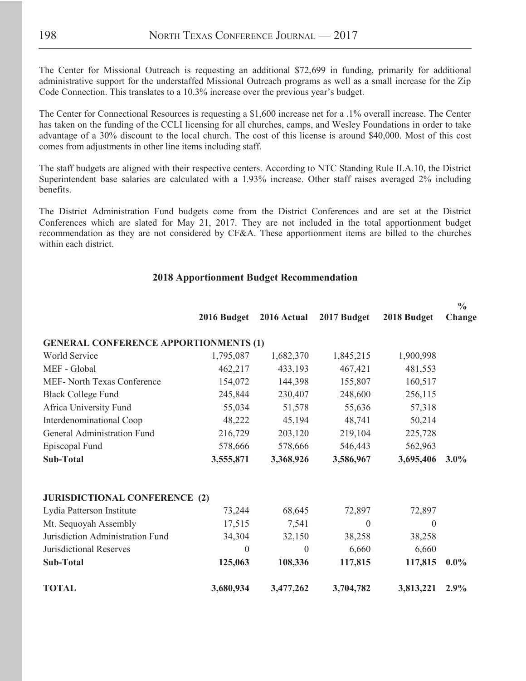The Center for Missional Outreach is requesting an additional \$72,699 in funding, primarily for additional administrative support for the understaffed Missional Outreach programs as well as a small increase for the Zip Code Connection. This translates to a 10.3% increase over the previous year's budget.

The Center for Connectional Resources is requesting a \$1,600 increase net for a .1% overall increase. The Center has taken on the funding of the CCLI licensing for all churches, camps, and Wesley Foundations in order to take advantage of a 30% discount to the local church. The cost of this license is around \$40,000. Most of this cost comes from adjustments in other line items including staff.

The staff budgets are aligned with their respective centers. According to NTC Standing Rule II.A.10, the District Superintendent base salaries are calculated with a 1.93% increase. Other staff raises averaged 2% including benefits.

The District Administration Fund budgets come from the District Conferences and are set at the District Conferences which are slated for May 21, 2017. They are not included in the total apportionment budget recommendation as they are not considered by CF&A. These apportionment items are billed to the churches within each district.

#### **2018 Apportionment Budget Recommendation**

|                                              |                  |                  |                  |                  | $\frac{0}{0}$ |
|----------------------------------------------|------------------|------------------|------------------|------------------|---------------|
|                                              | 2016 Budget      | 2016 Actual      | 2017 Budget      | 2018 Budget      | Change        |
| <b>GENERAL CONFERENCE APPORTIONMENTS (1)</b> |                  |                  |                  |                  |               |
| World Service                                | 1,795,087        | 1,682,370        | 1,845,215        | 1,900,998        |               |
| MEF - Global                                 | 462,217          | 433,193          | 467,421          | 481,553          |               |
| <b>MEF- North Texas Conference</b>           | 154,072          | 144,398          | 155,807          | 160,517          |               |
| <b>Black College Fund</b>                    | 245,844          | 230,407          | 248,600          | 256,115          |               |
| Africa University Fund                       | 55,034           | 51,578           | 55,636           | 57,318           |               |
| Interdenominational Coop                     | 48,222           | 45,194           | 48,741           | 50,214           |               |
| General Administration Fund                  | 216,729          | 203,120          | 219,104          | 225,728          |               |
| Episcopal Fund                               | 578,666          | 578,666          | 546,443          | 562,963          |               |
| <b>Sub-Total</b>                             | 3,555,871        | 3,368,926        | 3,586,967        | 3,695,406        | $3.0\%$       |
| <b>JURISDICTIONAL CONFERENCE (2)</b>         |                  |                  |                  |                  |               |
| Lydia Patterson Institute                    | 73,244           | 68,645           | 72,897           | 72,897           |               |
| Mt. Sequoyah Assembly                        | 17,515           | 7,541            | $\boldsymbol{0}$ | $\boldsymbol{0}$ |               |
| Jurisdiction Administration Fund             | 34,304           | 32,150           | 38,258           | 38,258           |               |
| <b>Jurisdictional Reserves</b>               | $\boldsymbol{0}$ | $\boldsymbol{0}$ | 6,660            | 6,660            |               |
| <b>Sub-Total</b>                             | 125,063          | 108,336          | 117,815          | 117,815          | $0.0\%$       |
| <b>TOTAL</b>                                 | 3,680,934        | 3,477,262        | 3,704,782        | 3,813,221        | 2.9%          |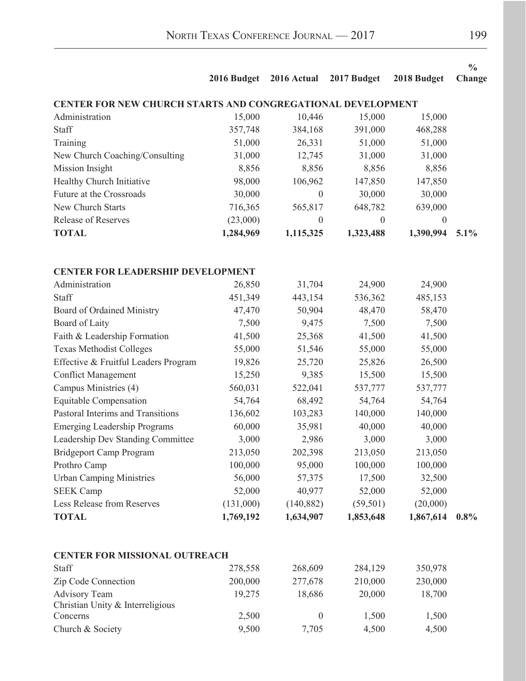|                                                                    |             |                  |                  |                  | $\frac{0}{0}$ |  |  |  |
|--------------------------------------------------------------------|-------------|------------------|------------------|------------------|---------------|--|--|--|
|                                                                    | 2016 Budget | 2016 Actual      | 2017 Budget      | 2018 Budget      | Change        |  |  |  |
| <b>CENTER FOR NEW CHURCH STARTS AND CONGREGATIONAL DEVELOPMENT</b> |             |                  |                  |                  |               |  |  |  |
| Administration                                                     | 15,000      | 10,446           | 15,000           | 15,000           |               |  |  |  |
| Staff                                                              | 357,748     | 384,168          | 391,000          | 468,288          |               |  |  |  |
| Training                                                           | 51,000      | 26,331           | 51,000           | 51,000           |               |  |  |  |
| New Church Coaching/Consulting                                     | 31,000      | 12,745           | 31,000           | 31,000           |               |  |  |  |
| Mission Insight                                                    | 8,856       | 8,856            | 8,856            | 8,856            |               |  |  |  |
| Healthy Church Initiative                                          | 98,000      | 106,962          | 147,850          | 147,850          |               |  |  |  |
| Future at the Crossroads                                           | 30,000      | $\boldsymbol{0}$ | 30,000           | 30,000           |               |  |  |  |
| New Church Starts                                                  | 716,365     | 565,817          | 648,782          | 639,000          |               |  |  |  |
| <b>Release of Reserves</b>                                         | (23,000)    | $\boldsymbol{0}$ | $\boldsymbol{0}$ | $\boldsymbol{0}$ |               |  |  |  |
| <b>TOTAL</b>                                                       | 1,284,969   | 1,115,325        | 1,323,488        | 1,390,994        | 5.1%          |  |  |  |
|                                                                    |             |                  |                  |                  |               |  |  |  |
| <b>CENTER FOR LEADERSHIP DEVELOPMENT</b>                           |             |                  |                  |                  |               |  |  |  |
| Administration                                                     | 26,850      | 31,704           | 24,900           | 24,900           |               |  |  |  |
| Staff                                                              | 451,349     | 443,154          | 536,362          | 485,153          |               |  |  |  |
| Board of Ordained Ministry                                         | 47,470      | 50,904           | 48,470           | 58,470           |               |  |  |  |
| Board of Laity                                                     | 7,500       | 9,475            | 7,500            | 7,500            |               |  |  |  |
| Faith & Leadership Formation                                       | 41,500      | 25,368           | 41,500           | 41,500           |               |  |  |  |
| <b>Texas Methodist Colleges</b>                                    | 55,000      | 51,546           | 55,000           | 55,000           |               |  |  |  |
| Effective & Fruitful Leaders Program                               | 19,826      | 25,720           | 25,826           | 26,500           |               |  |  |  |
| <b>Conflict Management</b>                                         | 15,250      | 9,385            | 15,500           | 15,500           |               |  |  |  |
| Campus Ministries (4)                                              | 560,031     | 522,041          | 537,777          | 537,777          |               |  |  |  |
| <b>Equitable Compensation</b>                                      | 54,764      | 68,492           | 54,764           | 54,764           |               |  |  |  |
| Pastoral Interims and Transitions                                  | 136,602     | 103,283          | 140,000          | 140,000          |               |  |  |  |
| <b>Emerging Leadership Programs</b>                                | 60,000      | 35,981           | 40,000           | 40,000           |               |  |  |  |
| Leadership Dev Standing Committee                                  | 3,000       | 2,986            | 3,000            | 3,000            |               |  |  |  |
| Bridgeport Camp Program                                            | 213,050     | 202,398          | 213,050          | 213,050          |               |  |  |  |
| Prothro Camp                                                       | 100,000     | 95,000           | 100,000          | 100,000          |               |  |  |  |
| <b>Urban Camping Ministries</b>                                    | 56,000      | 57,375           | 17,500           | 32,500           |               |  |  |  |
| <b>SEEK Camp</b>                                                   | 52,000      | 40,977           | 52,000           | 52,000           |               |  |  |  |
| Less Release from Reserves                                         | (131,000)   | (140, 882)       | (59, 501)        | (20,000)         |               |  |  |  |
| <b>TOTAL</b>                                                       | 1,769,192   | 1,634,907        | 1,853,648        | 1,867,614        | $0.8\%$       |  |  |  |
|                                                                    |             |                  |                  |                  |               |  |  |  |
| <b>CENTER FOR MISSIONAL OUTREACH</b>                               |             |                  |                  |                  |               |  |  |  |
| Staff                                                              | 278,558     | 268,609          | 284,129          | 350,978          |               |  |  |  |
| Zip Code Connection                                                | 200,000     | 277,678          | 210,000          | 230,000          |               |  |  |  |
| <b>Advisory Team</b>                                               | 19,275      | 18,686           | 20,000           | 18,700           |               |  |  |  |
| Christian Unity & Interreligious                                   |             |                  |                  |                  |               |  |  |  |
| Concerns                                                           | 2,500       | $\boldsymbol{0}$ | 1,500            | 1,500            |               |  |  |  |
| Church & Society                                                   | 9,500       | 7,705            | 4,500            | 4,500            |               |  |  |  |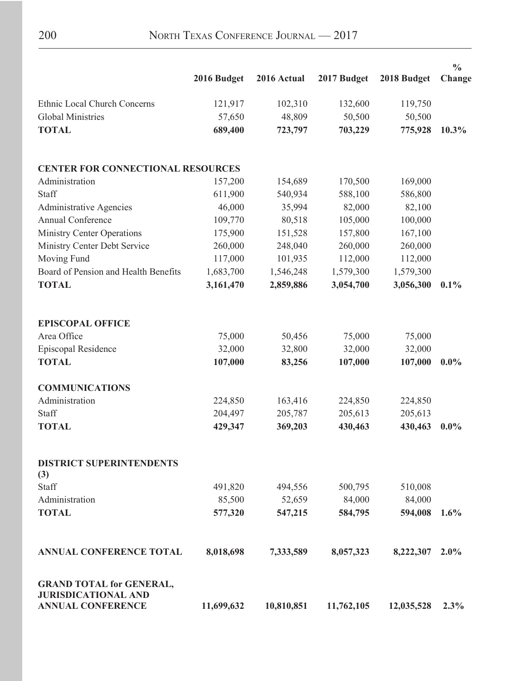|                                                                                           | 2016 Budget | 2016 Actual       | 2017 Budget       | 2018 Budget       | $\frac{0}{0}$<br>Change |
|-------------------------------------------------------------------------------------------|-------------|-------------------|-------------------|-------------------|-------------------------|
|                                                                                           |             |                   |                   |                   |                         |
| Ethnic Local Church Concerns                                                              | 121,917     | 102,310           | 132,600           | 119,750           |                         |
| <b>Global Ministries</b>                                                                  | 57,650      | 48,809            | 50,500            | 50,500            |                         |
| <b>TOTAL</b>                                                                              | 689,400     | 723,797           | 703,229           | 775,928           | $10.3\%$                |
| <b>CENTER FOR CONNECTIONAL RESOURCES</b>                                                  |             |                   |                   |                   |                         |
| Administration                                                                            | 157,200     | 154,689           | 170,500           | 169,000           |                         |
| Staff                                                                                     | 611,900     | 540,934           | 588,100           | 586,800           |                         |
| <b>Administrative Agencies</b>                                                            | 46,000      | 35,994            | 82,000            | 82,100            |                         |
| Annual Conference                                                                         | 109,770     | 80,518            | 105,000           | 100,000           |                         |
| <b>Ministry Center Operations</b>                                                         | 175,900     | 151,528           | 157,800           | 167,100           |                         |
| Ministry Center Debt Service                                                              | 260,000     | 248,040           | 260,000           | 260,000           |                         |
| Moving Fund                                                                               | 117,000     | 101,935           | 112,000           | 112,000           |                         |
| Board of Pension and Health Benefits                                                      | 1,683,700   | 1,546,248         | 1,579,300         | 1,579,300         |                         |
| <b>TOTAL</b>                                                                              | 3,161,470   | 2,859,886         | 3,054,700         | 3,056,300         | 0.1%                    |
| <b>EPISCOPAL OFFICE</b>                                                                   |             |                   |                   |                   |                         |
| Area Office                                                                               | 75,000      | 50,456            | 75,000            | 75,000            |                         |
| Episcopal Residence                                                                       | 32,000      | 32,800            | 32,000            | 32,000            |                         |
| <b>TOTAL</b>                                                                              | 107,000     | 83,256            | 107,000           | 107,000           | $0.0\%$                 |
| <b>COMMUNICATIONS</b>                                                                     |             |                   |                   |                   |                         |
| Administration                                                                            | 224,850     | 163,416           | 224,850           | 224,850           |                         |
| Staff                                                                                     | 204,497     | 205,787           | 205,613           | 205,613           |                         |
| <b>TOTAL</b>                                                                              | 429,347     | 369,203           | 430,463           | 430,463           | $0.0\%$                 |
| <b>DISTRICT SUPERINTENDENTS</b>                                                           |             |                   |                   |                   |                         |
| (3)<br>Staff                                                                              |             |                   |                   |                   |                         |
| Administration                                                                            | 491,820     | 494,556<br>52,659 | 500,795<br>84,000 | 510,008<br>84,000 |                         |
|                                                                                           | 85,500      |                   |                   |                   |                         |
| <b>TOTAL</b>                                                                              | 577,320     | 547,215           | 584,795           | 594,008           | 1.6%                    |
| <b>ANNUAL CONFERENCE TOTAL</b>                                                            | 8,018,698   | 7,333,589         | 8,057,323         | 8,222,307         | 2.0%                    |
| <b>GRAND TOTAL for GENERAL,</b><br><b>JURISDICATIONAL AND</b><br><b>ANNUAL CONFERENCE</b> | 11,699,632  | 10,810,851        | 11,762,105        | 12,035,528        | 2.3%                    |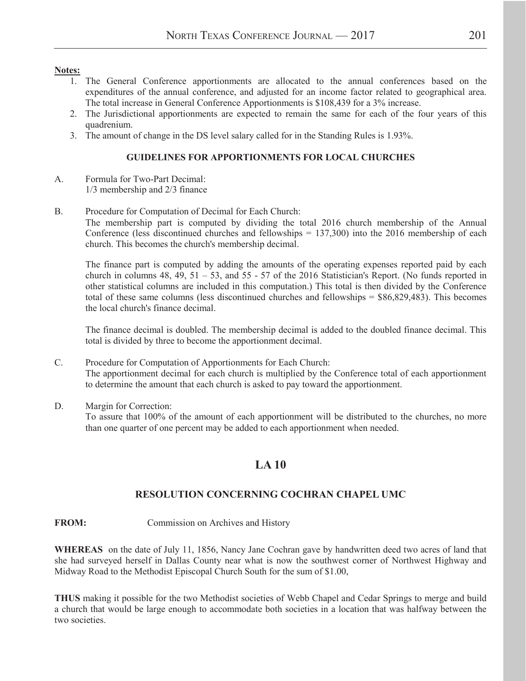#### **Notes:**

- 1. The General Conference apportionments are allocated to the annual conferences based on the expenditures of the annual conference, and adjusted for an income factor related to geographical area. The total increase in General Conference Apportionments is \$108,439 for a 3% increase.
- 2. The Jurisdictional apportionments are expected to remain the same for each of the four years of this quadrenium.
- 3. The amount of change in the DS level salary called for in the Standing Rules is 1.93%.

#### **GUIDELINES FOR APPORTIONMENTS FOR LOCAL CHURCHES**

- A. Formula for Two-Part Decimal: 1/3 membership and 2/3 finance
- B. Procedure for Computation of Decimal for Each Church:

The membership part is computed by dividing the total 2016 church membership of the Annual Conference (less discontinued churches and fellowships  $= 137,300$ ) into the 2016 membership of each church. This becomes the church's membership decimal.

The finance part is computed by adding the amounts of the operating expenses reported paid by each church in columns 48, 49, 51 – 53, and 55 - 57 of the 2016 Statistician's Report. (No funds reported in other statistical columns are included in this computation.) This total is then divided by the Conference total of these same columns (less discontinued churches and fellowships = \$86,829,483). This becomes the local church's finance decimal.

The finance decimal is doubled. The membership decimal is added to the doubled finance decimal. This total is divided by three to become the apportionment decimal.

- C. Procedure for Computation of Apportionments for Each Church: The apportionment decimal for each church is multiplied by the Conference total of each apportionment to determine the amount that each church is asked to pay toward the apportionment.
- D. Margin for Correction:

To assure that 100% of the amount of each apportionment will be distributed to the churches, no more than one quarter of one percent may be added to each apportionment when needed.

### **LA 10**

### **RESOLUTION CONCERNING COCHRAN CHAPEL UMC**

#### **FROM:** Commission on Archives and History

**WHEREAS** on the date of July 11, 1856, Nancy Jane Cochran gave by handwritten deed two acres of land that she had surveyed herself in Dallas County near what is now the southwest corner of Northwest Highway and Midway Road to the Methodist Episcopal Church South for the sum of \$1.00,

**THUS** making it possible for the two Methodist societies of Webb Chapel and Cedar Springs to merge and build a church that would be large enough to accommodate both societies in a location that was halfway between the two societies.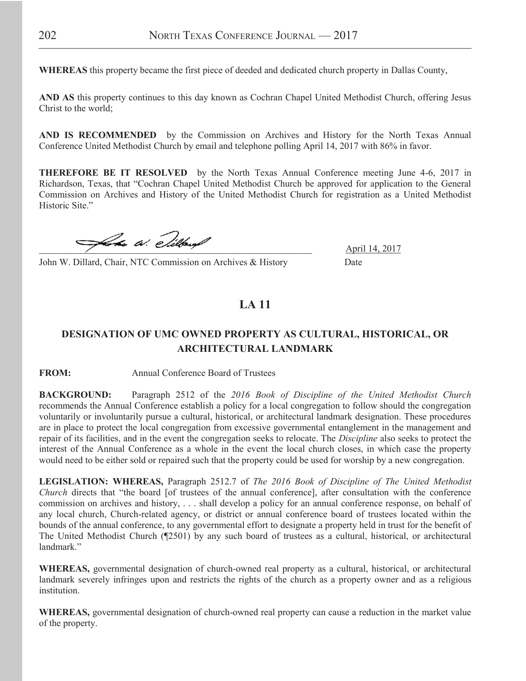**WHEREAS** this property became the first piece of deeded and dedicated church property in Dallas County,

**AND AS** this property continues to this day known as Cochran Chapel United Methodist Church, offering Jesus Christ to the world;

**AND IS RECOMMENDED** by the Commission on Archives and History for the North Texas Annual Conference United Methodist Church by email and telephone polling April 14, 2017 with 86% in favor.

**THEREFORE BE IT RESOLVED** by the North Texas Annual Conference meeting June 4-6, 2017 in Richardson, Texas, that "Cochran Chapel United Methodist Church be approved for application to the General Commission on Archives and History of the United Methodist Church for registration as a United Methodist Historic Site."

 $\mathcal{A}$  a.  $\mathcal{C}$ ilbus  $\mathcal{C}$ 

John W. Dillard, Chair, NTC Commission on Archives & History Date

### **LA 11**

### **DESIGNATION OF UMC OWNED PROPERTY AS CULTURAL, HISTORICAL, OR ARCHITECTURAL LANDMARK**

**FROM:** Annual Conference Board of Trustees

**BACKGROUND:** Paragraph 2512 of the *2016 Book of Discipline of the United Methodist Church* recommends the Annual Conference establish a policy for a local congregation to follow should the congregation voluntarily or involuntarily pursue a cultural, historical, or architectural landmark designation. These procedures are in place to protect the local congregation from excessive governmental entanglement in the management and repair of its facilities, and in the event the congregation seeks to relocate. The *Discipline* also seeks to protect the interest of the Annual Conference as a whole in the event the local church closes, in which case the property would need to be either sold or repaired such that the property could be used for worship by a new congregation.

**LEGISLATION: WHEREAS,** Paragraph 2512.7 of *The 2016 Book of Discipline of The United Methodist Church* directs that "the board [of trustees of the annual conference], after consultation with the conference commission on archives and history, . . . shall develop a policy for an annual conference response, on behalf of any local church, Church-related agency, or district or annual conference board of trustees located within the bounds of the annual conference, to any governmental effort to designate a property held in trust for the benefit of The United Methodist Church (¶2501) by any such board of trustees as a cultural, historical, or architectural landmark"

**WHEREAS,** governmental designation of church-owned real property as a cultural, historical, or architectural landmark severely infringes upon and restricts the rights of the church as a property owner and as a religious institution.

**WHEREAS,** governmental designation of church-owned real property can cause a reduction in the market value of the property.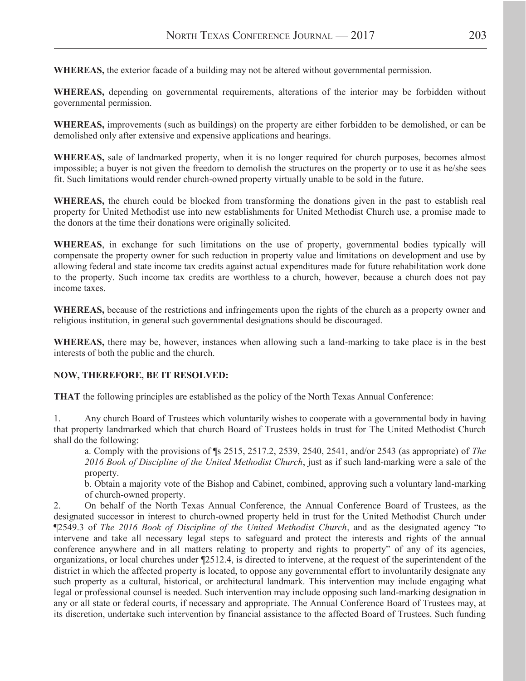**WHEREAS,** the exterior facade of a building may not be altered without governmental permission.

**WHEREAS,** depending on governmental requirements, alterations of the interior may be forbidden without governmental permission.

**WHEREAS,** improvements (such as buildings) on the property are either forbidden to be demolished, or can be demolished only after extensive and expensive applications and hearings.

**WHEREAS,** sale of landmarked property, when it is no longer required for church purposes, becomes almost impossible; a buyer is not given the freedom to demolish the structures on the property or to use it as he/she sees fit. Such limitations would render church-owned property virtually unable to be sold in the future.

**WHEREAS,** the church could be blocked from transforming the donations given in the past to establish real property for United Methodist use into new establishments for United Methodist Church use, a promise made to the donors at the time their donations were originally solicited.

**WHEREAS**, in exchange for such limitations on the use of property, governmental bodies typically will compensate the property owner for such reduction in property value and limitations on development and use by allowing federal and state income tax credits against actual expenditures made for future rehabilitation work done to the property. Such income tax credits are worthless to a church, however, because a church does not pay income taxes.

**WHEREAS,** because of the restrictions and infringements upon the rights of the church as a property owner and religious institution, in general such governmental designations should be discouraged.

**WHEREAS,** there may be, however, instances when allowing such a land-marking to take place is in the best interests of both the public and the church.

#### **NOW, THEREFORE, BE IT RESOLVED:**

**THAT** the following principles are established as the policy of the North Texas Annual Conference:

1. Any church Board of Trustees which voluntarily wishes to cooperate with a governmental body in having that property landmarked which that church Board of Trustees holds in trust for The United Methodist Church shall do the following:

a. Comply with the provisions of ¶s 2515, 2517.2, 2539, 2540, 2541, and/or 2543 (as appropriate) of *The 2016 Book of Discipline of the United Methodist Church*, just as if such land-marking were a sale of the property.

b. Obtain a majority vote of the Bishop and Cabinet, combined, approving such a voluntary land-marking of church-owned property.

2. On behalf of the North Texas Annual Conference, the Annual Conference Board of Trustees, as the designated successor in interest to church-owned property held in trust for the United Methodist Church under ¶2549.3 of *The 2016 Book of Discipline of the United Methodist Church*, and as the designated agency "to intervene and take all necessary legal steps to safeguard and protect the interests and rights of the annual conference anywhere and in all matters relating to property and rights to property" of any of its agencies, organizations, or local churches under ¶2512.4, is directed to intervene, at the request of the superintendent of the district in which the affected property is located, to oppose any governmental effort to involuntarily designate any such property as a cultural, historical, or architectural landmark. This intervention may include engaging what legal or professional counsel is needed. Such intervention may include opposing such land-marking designation in any or all state or federal courts, if necessary and appropriate. The Annual Conference Board of Trustees may, at its discretion, undertake such intervention by financial assistance to the affected Board of Trustees. Such funding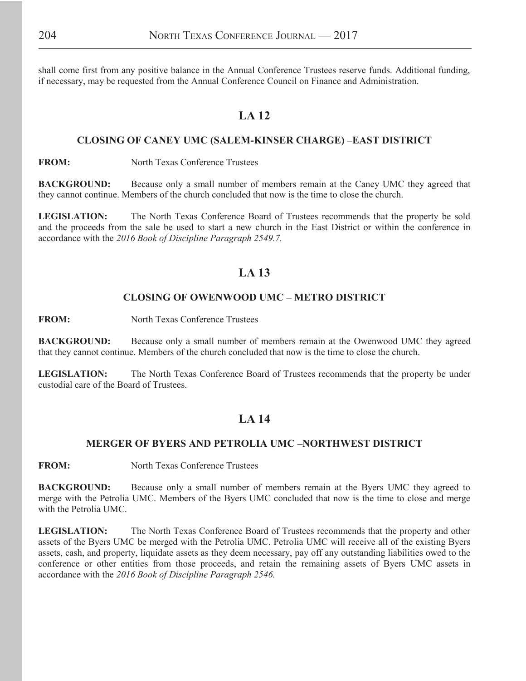shall come first from any positive balance in the Annual Conference Trustees reserve funds. Additional funding, if necessary, may be requested from the Annual Conference Council on Finance and Administration.

### **LA 12**

#### **CLOSING OF CANEY UMC (SALEM-KINSER CHARGE) –EAST DISTRICT**

**FROM:** North Texas Conference Trustees

**BACKGROUND:** Because only a small number of members remain at the Caney UMC they agreed that they cannot continue. Members of the church concluded that now is the time to close the church.

**LEGISLATION:** The North Texas Conference Board of Trustees recommends that the property be sold and the proceeds from the sale be used to start a new church in the East District or within the conference in accordance with the *2016 Book of Discipline Paragraph 2549.7.* 

### **LA 13**

#### **CLOSING OF OWENWOOD UMC – METRO DISTRICT**

**FROM:** North Texas Conference Trustees

**BACKGROUND:** Because only a small number of members remain at the Owenwood UMC they agreed that they cannot continue. Members of the church concluded that now is the time to close the church.

**LEGISLATION:** The North Texas Conference Board of Trustees recommends that the property be under custodial care of the Board of Trustees.

### **LA 14**

#### **MERGER OF BYERS AND PETROLIA UMC –NORTHWEST DISTRICT**

**FROM:** North Texas Conference Trustees

**BACKGROUND:** Because only a small number of members remain at the Byers UMC they agreed to merge with the Petrolia UMC. Members of the Byers UMC concluded that now is the time to close and merge with the Petrolia UMC.

**LEGISLATION:** The North Texas Conference Board of Trustees recommends that the property and other assets of the Byers UMC be merged with the Petrolia UMC. Petrolia UMC will receive all of the existing Byers assets, cash, and property, liquidate assets as they deem necessary, pay off any outstanding liabilities owed to the conference or other entities from those proceeds, and retain the remaining assets of Byers UMC assets in accordance with the *2016 Book of Discipline Paragraph 2546.*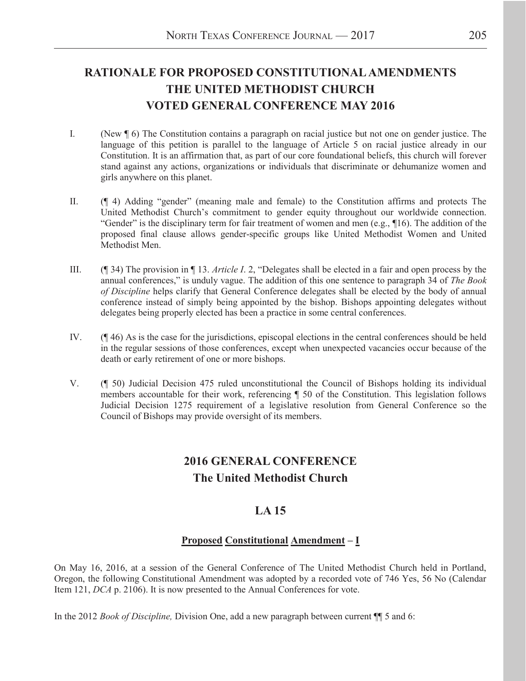## **RATIONALE FOR PROPOSED CONSTITUTIONAL AMENDMENTS THE UNITED METHODIST CHURCH VOTED GENERAL CONFERENCE MAY 2016**

- I. (New ¶ 6) The Constitution contains a paragraph on racial justice but not one on gender justice. The language of this petition is parallel to the language of Article 5 on racial justice already in our Constitution. It is an affirmation that, as part of our core foundational beliefs, this church will forever stand against any actions, organizations or individuals that discriminate or dehumanize women and girls anywhere on this planet.
- II. (¶ 4) Adding "gender" (meaning male and female) to the Constitution affirms and protects The United Methodist Church's commitment to gender equity throughout our worldwide connection. "Gender" is the disciplinary term for fair treatment of women and men (e.g.,  $\P$ 16). The addition of the proposed final clause allows gender-specific groups like United Methodist Women and United Methodist Men.
- III. (¶ 34) The provision in ¶ 13. *Article I*. 2, "Delegates shall be elected in a fair and open process by the annual conferences," is unduly vague. The addition of this one sentence to paragraph 34 of *The Book of Discipline* helps clarify that General Conference delegates shall be elected by the body of annual conference instead of simply being appointed by the bishop. Bishops appointing delegates without delegates being properly elected has been a practice in some central conferences.
- IV. (¶ 46) As is the case for the jurisdictions, episcopal elections in the central conferences should be held in the regular sessions of those conferences, except when unexpected vacancies occur because of the death or early retirement of one or more bishops.
- V. (¶ 50) Judicial Decision 475 ruled unconstitutional the Council of Bishops holding its individual members accountable for their work, referencing ¶ 50 of the Constitution. This legislation follows Judicial Decision 1275 requirement of a legislative resolution from General Conference so the Council of Bishops may provide oversight of its members.

### **2016 GENERAL CONFERENCE The United Methodist Church**

### **LA 15**

### **Proposed Constitutional Amendment – I**

On May 16, 2016, at a session of the General Conference of The United Methodist Church held in Portland, Oregon, the following Constitutional Amendment was adopted by a recorded vote of 746 Yes, 56 No (Calendar Item 121, *DCA* p. 2106). It is now presented to the Annual Conferences for vote.

In the 2012 *Book of Discipline,* Division One, add a new paragraph between current ¶¶ 5 and 6: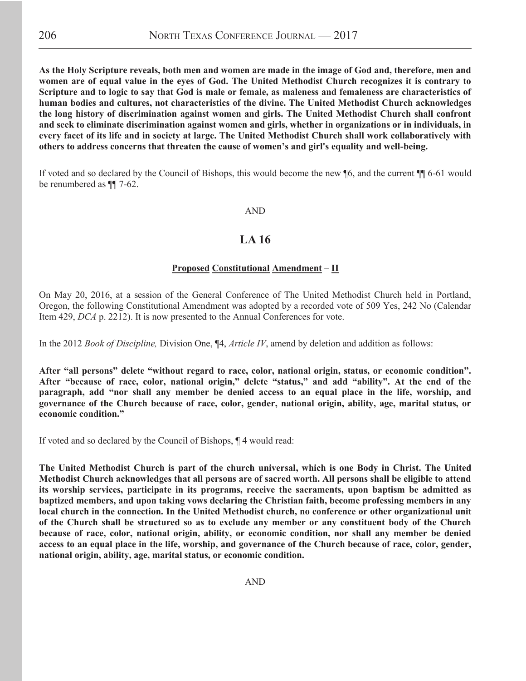As the Holy Scripture reveals, both men and women are made in the image of God and, therefore, men and women are of equal value in the eyes of God. The United Methodist Church recognizes it is contrary to Scripture and to logic to say that God is male or female, as maleness and femaleness are characteristics of **human bodies and cultures, not characteristics of the divine. The United Methodist Church acknowledges**  the long history of discrimination against women and girls. The United Methodist Church shall confront **and seek to eliminate discrimination against women and girls, whether in organizations or in individuals, in**  every facet of its life and in society at large. The United Methodist Church shall work collaboratively with **others to address concerns that threaten the cause of women's and girl's equality and well-being.** 

If voted and so declared by the Council of Bishops, this would become the new ¶6, and the current ¶¶ 6-61 would be renumbered as ¶¶ 7-62.

#### AND

### **LA 16**

#### **Proposed Constitutional Amendment – II**

On May 20, 2016, at a session of the General Conference of The United Methodist Church held in Portland, Oregon, the following Constitutional Amendment was adopted by a recorded vote of 509 Yes, 242 No (Calendar Item 429, *DCA* p. 2212). It is now presented to the Annual Conferences for vote.

In the 2012 *Book of Discipline,* Division One, ¶4, *Article IV*, amend by deletion and addition as follows:

**After "all persons" delete "without regard to race, color, national origin, status, or economic condition". After "because of race, color, national origin," delete "status," and add "ability". At the end of the**  paragraph, add "nor shall any member be denied access to an equal place in the life, worship, and governance of the Church because of race, color, gender, national origin, ability, age, marital status, or **economic condition."**

If voted and so declared by the Council of Bishops, ¶ 4 would read:

**The United Methodist Church is part of the church universal, which is one Body in Christ. The United Methodist Church acknowledges that all persons are of sacred worth. All persons shall be eligible to attend its worship services, participate in its programs, receive the sacraments, upon baptism be admitted as**  baptized members, and upon taking vows declaring the Christian faith, become professing members in any **local church in the connection. In the United Methodist church, no conference or other organizational unit**  of the Church shall be structured so as to exclude any member or any constituent body of the Church because of race, color, national origin, ability, or economic condition, nor shall any member be denied **access to an equal place in the life, worship, and governance of the Church because of race, color, gender,**  national origin, ability, age, marital status, or economic condition.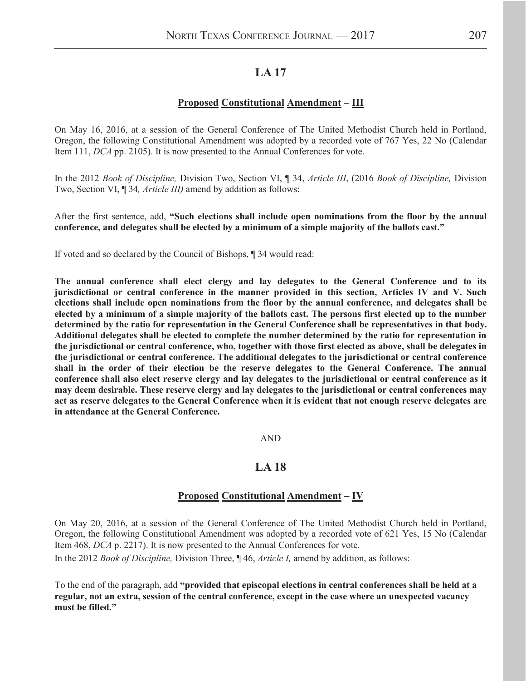### **LA 17**

#### **Proposed Constitutional Amendment – III**

On May 16, 2016, at a session of the General Conference of The United Methodist Church held in Portland, Oregon, the following Constitutional Amendment was adopted by a recorded vote of 767 Yes, 22 No (Calendar Item 111, *DCA* pp. 2105). It is now presented to the Annual Conferences for vote.

In the 2012 *Book of Discipline,* Division Two, Section VI, ¶ 34, *Article III*, (2016 *Book of Discipline,* Division Two, Section VI, ¶ 34*, Article III)* amend by addition as follows:

After the first sentence, add, **"Such elections shall include open nominations from the floor by the annual conference, and delegates shall be elected by a minimum of a simple majority of the ballots cast."**

If voted and so declared by the Council of Bishops, ¶ 34 would read:

The annual conference shall elect clergy and lay delegates to the General Conference and to its **jurisdictional or central conference in the manner provided in this section, Articles IV and V. Such elections shall include open nominations from the floor by the annual conference, and delegates shall be** elected by a minimum of a simple majority of the ballots cast. The persons first elected up to the number determined by the ratio for representation in the General Conference shall be representatives in that body. Additional delegates shall be elected to complete the number determined by the ratio for representation in **the jurisdictional or central conference, who, together with those first elected as above, shall be delegates in the jurisdictional or central conference. The additional delegates to the jurisdictional or central conference shall in the order of their election be the reserve delegates to the General Conference. The annual conference shall also elect reserve clergy and lay delegates to the jurisdictional or central conference as it may deem desirable. These reserve clergy and lay delegates to the jurisdictional or central conferences may act as reserve delegates to the General Conference when it is evident that not enough reserve delegates are in attendance at the General Conference.** 

#### AND

#### **LA 18**

#### **Proposed Constitutional Amendment – IV**

On May 20, 2016, at a session of the General Conference of The United Methodist Church held in Portland, Oregon, the following Constitutional Amendment was adopted by a recorded vote of 621 Yes, 15 No (Calendar Item 468, *DCA* p. 2217). It is now presented to the Annual Conferences for vote.

In the 2012 *Book of Discipline,* Division Three, ¶ 46, *Article I,* amend by addition, as follows:

To the end of the paragraph, add **"provided that episcopal elections in central conferences shall be held at a**  regular, not an extra, session of the central conference, except in the case where an unexpected vacancy **must be filled."**